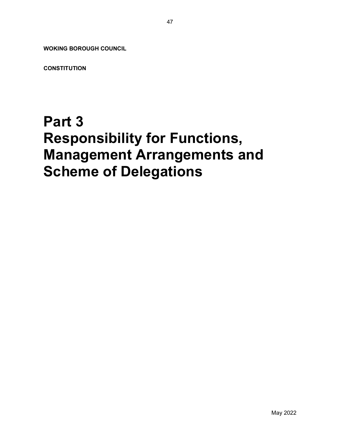WOKING BOROUGH COUNCIL

**CONSTITUTION** 

# Part 3 Responsibility for Functions, Management Arrangements and Scheme of Delegations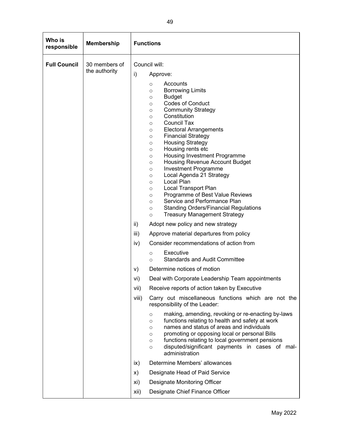| Who is<br>responsible | <b>Membership</b>              | <b>Functions</b>                                                                                                                                                                                                                                                                                                                                                                                                                                                                                                                                                                                                                                                                                                                                                                                                                                                                                                                                                                                                                                                                                                                                                                                                                                                                                                                                                                                                                                                                                  |
|-----------------------|--------------------------------|---------------------------------------------------------------------------------------------------------------------------------------------------------------------------------------------------------------------------------------------------------------------------------------------------------------------------------------------------------------------------------------------------------------------------------------------------------------------------------------------------------------------------------------------------------------------------------------------------------------------------------------------------------------------------------------------------------------------------------------------------------------------------------------------------------------------------------------------------------------------------------------------------------------------------------------------------------------------------------------------------------------------------------------------------------------------------------------------------------------------------------------------------------------------------------------------------------------------------------------------------------------------------------------------------------------------------------------------------------------------------------------------------------------------------------------------------------------------------------------------------|
| <b>Full Council</b>   | 30 members of<br>the authority | Council will:<br>i)<br>Approve:<br>Accounts<br>$\circ$<br><b>Borrowing Limits</b><br>$\circ$<br><b>Budget</b><br>$\circ$<br><b>Codes of Conduct</b><br>$\circ$<br><b>Community Strategy</b><br>$\circ$<br>Constitution<br>$\circ$<br><b>Council Tax</b><br>$\circ$<br><b>Electoral Arrangements</b><br>$\circ$<br><b>Financial Strategy</b><br>$\circ$<br><b>Housing Strategy</b><br>$\circ$<br>Housing rents etc<br>$\circ$<br>Housing Investment Programme<br>$\circ$<br>Housing Revenue Account Budget<br>$\circ$<br><b>Investment Programme</b><br>$\circ$<br>Local Agenda 21 Strategy<br>$\circ$<br>Local Plan<br>$\circ$<br><b>Local Transport Plan</b><br>$\circ$<br>Programme of Best Value Reviews<br>$\circ$<br>Service and Performance Plan<br>$\circ$<br><b>Standing Orders/Financial Regulations</b><br>$\circ$<br><b>Treasury Management Strategy</b><br>$\circ$<br>ii)<br>Adopt new policy and new strategy<br>Approve material departures from policy<br>iii)<br>Consider recommendations of action from<br>iv)<br>Executive<br>$\circ$<br><b>Standards and Audit Committee</b><br>$\circ$<br>Determine notices of motion<br>V)<br>Deal with Corporate Leadership Team appointments<br>Vİ)<br>Receive reports of action taken by Executive<br>vii)<br>viii)<br>Carry out miscellaneous functions which are not the<br>responsibility of the Leader:<br>making, amending, revoking or re-enacting by-laws<br>$\circ$<br>functions relating to health and safety at work<br>$\circ$ |
|                       |                                | names and status of areas and individuals<br>$\circ$<br>promoting or opposing local or personal Bills<br>$\circ$<br>functions relating to local government pensions<br>$\circ$<br>disputed/significant payments in cases of mal-<br>$\circ$<br>administration                                                                                                                                                                                                                                                                                                                                                                                                                                                                                                                                                                                                                                                                                                                                                                                                                                                                                                                                                                                                                                                                                                                                                                                                                                     |
|                       |                                | Determine Members' allowances<br>$\mathsf{ix}$                                                                                                                                                                                                                                                                                                                                                                                                                                                                                                                                                                                                                                                                                                                                                                                                                                                                                                                                                                                                                                                                                                                                                                                                                                                                                                                                                                                                                                                    |
|                       |                                | Designate Head of Paid Service<br>X)                                                                                                                                                                                                                                                                                                                                                                                                                                                                                                                                                                                                                                                                                                                                                                                                                                                                                                                                                                                                                                                                                                                                                                                                                                                                                                                                                                                                                                                              |
|                       |                                | Designate Monitoring Officer<br>xi)                                                                                                                                                                                                                                                                                                                                                                                                                                                                                                                                                                                                                                                                                                                                                                                                                                                                                                                                                                                                                                                                                                                                                                                                                                                                                                                                                                                                                                                               |
|                       |                                | Designate Chief Finance Officer<br>xii)                                                                                                                                                                                                                                                                                                                                                                                                                                                                                                                                                                                                                                                                                                                                                                                                                                                                                                                                                                                                                                                                                                                                                                                                                                                                                                                                                                                                                                                           |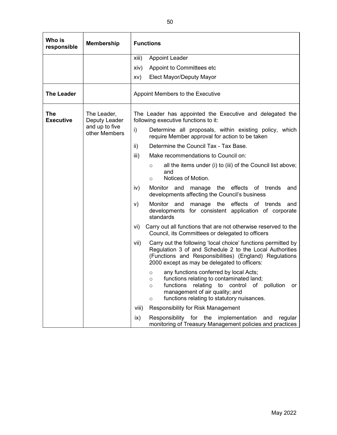| Who is<br>responsible   | <b>Membership</b>                                               | <b>Functions</b>                                                                                                                                                                                                                                                               |  |  |
|-------------------------|-----------------------------------------------------------------|--------------------------------------------------------------------------------------------------------------------------------------------------------------------------------------------------------------------------------------------------------------------------------|--|--|
|                         |                                                                 | xiii)<br><b>Appoint Leader</b>                                                                                                                                                                                                                                                 |  |  |
|                         |                                                                 | Appoint to Committees etc<br>xiv)                                                                                                                                                                                                                                              |  |  |
|                         |                                                                 | Elect Mayor/Deputy Mayor<br>XV)                                                                                                                                                                                                                                                |  |  |
| <b>The Leader</b>       |                                                                 | Appoint Members to the Executive                                                                                                                                                                                                                                               |  |  |
| The<br><b>Executive</b> | The Leader,<br>Deputy Leader<br>and up to five<br>other Members | The Leader has appointed the Executive and delegated the<br>following executive functions to it:                                                                                                                                                                               |  |  |
|                         |                                                                 | i)<br>Determine all proposals, within existing policy, which<br>require Member approval for action to be taken                                                                                                                                                                 |  |  |
|                         |                                                                 | Determine the Council Tax - Tax Base.<br>ii)                                                                                                                                                                                                                                   |  |  |
|                         |                                                                 | iii)<br>Make recommendations to Council on:                                                                                                                                                                                                                                    |  |  |
|                         |                                                                 | all the items under (i) to (iii) of the Council list above;<br>$\circ$<br>and<br>Notices of Motion.<br>$\circ$                                                                                                                                                                 |  |  |
|                         |                                                                 | Monitor and manage the effects of trends<br>iv)<br>and<br>developments affecting the Council's business                                                                                                                                                                        |  |  |
|                         |                                                                 | manage the effects of trends and<br>Monitor and<br>V)<br>developments for consistent application of corporate<br>standards                                                                                                                                                     |  |  |
|                         |                                                                 | Carry out all functions that are not otherwise reserved to the<br>vi)<br>Council, its Committees or delegated to officers                                                                                                                                                      |  |  |
|                         |                                                                 | Carry out the following 'local choice' functions permitted by<br>vii)<br>Regulation 3 of and Schedule 2 to the Local Authorities<br>(Functions and Responsibilities) (England) Regulations<br>2000 except as may be delegated to officers:                                     |  |  |
|                         |                                                                 | any functions conferred by local Acts;<br>$\circ$<br>functions relating to contaminated land;<br>$\circ$<br>functions<br>relating<br>control<br>of pollution<br>to<br>or<br>$\circ$<br>management of air quality; and<br>functions relating to statutory nuisances.<br>$\circ$ |  |  |
|                         |                                                                 | viii)<br><b>Responsibility for Risk Management</b>                                                                                                                                                                                                                             |  |  |
|                         |                                                                 | ix)<br>Responsibility for<br>the<br>implementation<br>and<br>regular<br>monitoring of Treasury Management policies and practices                                                                                                                                               |  |  |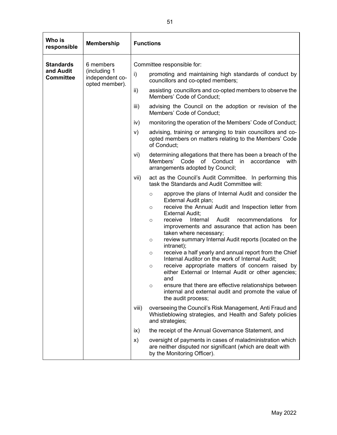| Who is<br>responsible                             | <b>Membership</b>                                              | <b>Functions</b>                                                                                                                                                                                                                                                                                                                                                                                                                                                                                                                                                                                                                                                                                                                                                                                                                                                                                                                                                                                                                                                                                                                                                                                                                                                                                                                                                                     |
|---------------------------------------------------|----------------------------------------------------------------|--------------------------------------------------------------------------------------------------------------------------------------------------------------------------------------------------------------------------------------------------------------------------------------------------------------------------------------------------------------------------------------------------------------------------------------------------------------------------------------------------------------------------------------------------------------------------------------------------------------------------------------------------------------------------------------------------------------------------------------------------------------------------------------------------------------------------------------------------------------------------------------------------------------------------------------------------------------------------------------------------------------------------------------------------------------------------------------------------------------------------------------------------------------------------------------------------------------------------------------------------------------------------------------------------------------------------------------------------------------------------------------|
| <b>Standards</b><br>and Audit<br><b>Committee</b> | 6 members<br>(including 1<br>independent co-<br>opted member). | Committee responsible for:<br>i)<br>promoting and maintaining high standards of conduct by<br>councillors and co-opted members;<br>assisting councillors and co-opted members to observe the<br>ii)<br>Members' Code of Conduct;<br>iii)<br>advising the Council on the adoption or revision of the<br>Members' Code of Conduct;<br>monitoring the operation of the Members' Code of Conduct;<br>iv)<br>V)<br>advising, training or arranging to train councillors and co-<br>opted members on matters relating to the Members' Code<br>of Conduct;<br>vi)<br>determining allegations that there has been a breach of the<br>Members'<br>Code<br>of Conduct in<br>accordance<br>with                                                                                                                                                                                                                                                                                                                                                                                                                                                                                                                                                                                                                                                                                                 |
|                                                   |                                                                | arrangements adopted by Council;<br>vii)<br>act as the Council's Audit Committee. In performing this<br>task the Standards and Audit Committee will:<br>approve the plans of Internal Audit and consider the<br>$\circ$<br>External Audit plan;<br>receive the Annual Audit and Inspection letter from<br>$\circ$<br><b>External Audit;</b><br>Audit<br>receive<br>Internal<br>recommendations<br>for<br>$\circ$<br>improvements and assurance that action has been<br>taken where necessary;<br>review summary Internal Audit reports (located on the<br>$\circ$<br>intranet);<br>receive a half yearly and annual report from the Chief<br>$\circ$<br>Internal Auditor on the work of Internal Audit;<br>receive appropriate matters of concern raised by<br>$\circ$<br>either External or Internal Audit or other agencies;<br>and<br>ensure that there are effective relationships between<br>$\circ$<br>internal and external audit and promote the value of<br>the audit process;<br>overseeing the Council's Risk Management, Anti Fraud and<br>viii)<br>Whistleblowing strategies, and Health and Safety policies<br>and strategies;<br>the receipt of the Annual Governance Statement, and<br>$\mathsf{ix}$<br>X)<br>oversight of payments in cases of maladministration which<br>are neither disputed nor significant (which are dealt with<br>by the Monitoring Officer). |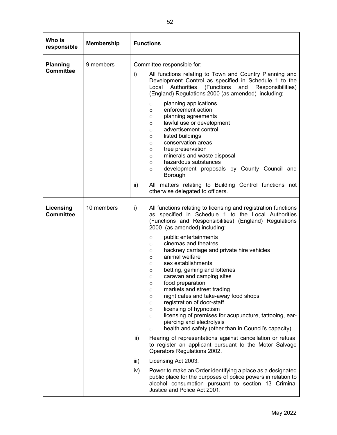| Who is<br>responsible               | <b>Membership</b> | <b>Functions</b>                                                                                                                                                                                                                                                                                                                                                                                                                                                                                                                                                                                                                                                                                                                                                                                                                                                                                                                                                                                                                              |
|-------------------------------------|-------------------|-----------------------------------------------------------------------------------------------------------------------------------------------------------------------------------------------------------------------------------------------------------------------------------------------------------------------------------------------------------------------------------------------------------------------------------------------------------------------------------------------------------------------------------------------------------------------------------------------------------------------------------------------------------------------------------------------------------------------------------------------------------------------------------------------------------------------------------------------------------------------------------------------------------------------------------------------------------------------------------------------------------------------------------------------|
| <b>Planning</b><br><b>Committee</b> | 9 members         | Committee responsible for:<br>i)<br>All functions relating to Town and Country Planning and<br>Development Control as specified in Schedule 1 to the<br>Local Authorities<br>(Functions<br>and<br>Responsibilities)<br>(England) Regulations 2000 (as amended) including:<br>planning applications<br>$\circ$<br>enforcement action<br>$\circ$                                                                                                                                                                                                                                                                                                                                                                                                                                                                                                                                                                                                                                                                                                |
|                                     |                   | planning agreements<br>$\circ$<br>lawful use or development<br>$\circ$<br>advertisement control<br>$\circ$<br>listed buildings<br>$\circ$<br>conservation areas<br>$\circ$<br>tree preservation<br>$\circ$<br>minerals and waste disposal<br>$\circ$<br>hazardous substances<br>$\circ$<br>development proposals by County Council and<br>$\circ$<br>Borough                                                                                                                                                                                                                                                                                                                                                                                                                                                                                                                                                                                                                                                                                  |
|                                     |                   | All matters relating to Building Control functions not<br>ii)<br>otherwise delegated to officers.                                                                                                                                                                                                                                                                                                                                                                                                                                                                                                                                                                                                                                                                                                                                                                                                                                                                                                                                             |
| Licensing<br><b>Committee</b>       | 10 members        | All functions relating to licensing and registration functions<br>i)<br>as specified in Schedule 1 to the Local Authorities<br>(Functions and Responsibilities) (England) Regulations<br>2000 (as amended) including:<br>public entertainments<br>$\circ$<br>cinemas and theatres<br>$\circ$<br>hackney carriage and private hire vehicles<br>$\circ$<br>animal welfare<br>$\circ$<br>sex establishments<br>$\circ$<br>betting, gaming and lotteries<br>$\circ$<br>caravan and camping sites<br>$\circ$<br>food preparation<br>O<br>markets and street trading<br>$\circ$<br>night cafes and take-away food shops<br>$\circ$<br>registration of door-staff<br>$\circ$<br>licensing of hypnotism<br>$\circ$<br>licensing of premises for acupuncture, tattooing, ear-<br>$\circ$<br>piercing and electrolysis<br>health and safety (other than in Council's capacity)<br>$\circ$<br>Hearing of representations against cancellation or refusal<br>ii)<br>to register an applicant pursuant to the Motor Salvage<br>Operators Regulations 2002. |
|                                     |                   | iii)<br>Licensing Act 2003.<br>iv)<br>Power to make an Order identifying a place as a designated<br>public place for the purposes of police powers in relation to<br>alcohol consumption pursuant to section 13 Criminal<br>Justice and Police Act 2001.                                                                                                                                                                                                                                                                                                                                                                                                                                                                                                                                                                                                                                                                                                                                                                                      |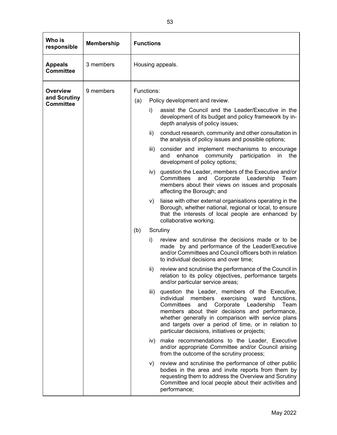| Who is<br>responsible              | <b>Membership</b> |                  | <b>Functions</b>                                                                                                                                                                                                                                                                                                                                                                |  |  |
|------------------------------------|-------------------|------------------|---------------------------------------------------------------------------------------------------------------------------------------------------------------------------------------------------------------------------------------------------------------------------------------------------------------------------------------------------------------------------------|--|--|
| <b>Appeals</b><br><b>Committee</b> | 3 members         | Housing appeals. |                                                                                                                                                                                                                                                                                                                                                                                 |  |  |
| <b>Overview</b><br>and Scrutiny    | 9 members         | Functions:       |                                                                                                                                                                                                                                                                                                                                                                                 |  |  |
| <b>Committee</b>                   |                   | (a)              | Policy development and review.                                                                                                                                                                                                                                                                                                                                                  |  |  |
|                                    |                   | i)               | assist the Council and the Leader/Executive in the<br>development of its budget and policy framework by in-<br>depth analysis of policy issues;                                                                                                                                                                                                                                 |  |  |
|                                    |                   | ii)              | conduct research, community and other consultation in<br>the analysis of policy issues and possible options;                                                                                                                                                                                                                                                                    |  |  |
|                                    |                   | iii)             | consider and implement mechanisms to encourage<br>enhance community participation<br>and<br>-in<br>the<br>development of policy options;                                                                                                                                                                                                                                        |  |  |
|                                    |                   | iv)              | question the Leader, members of the Executive and/or<br>Committees<br>and Corporate Leadership<br>Team<br>members about their views on issues and proposals<br>affecting the Borough; and                                                                                                                                                                                       |  |  |
|                                    |                   | V)               | liaise with other external organisations operating in the<br>Borough, whether national, regional or local, to ensure<br>that the interests of local people are enhanced by<br>collaborative working.                                                                                                                                                                            |  |  |
|                                    |                   | (b)<br>Scrutiny  |                                                                                                                                                                                                                                                                                                                                                                                 |  |  |
|                                    |                   | i)               | review and scrutinise the decisions made or to be<br>made by and performance of the Leader/Executive<br>and/or Committees and Council officers both in relation<br>to individual decisions and over time;                                                                                                                                                                       |  |  |
|                                    |                   | ii)              | review and scrutinise the performance of the Council in<br>relation to its policy objectives, performance targets<br>and/or particular service areas;                                                                                                                                                                                                                           |  |  |
|                                    |                   | iii)             | question the Leader, members of the Executive,<br>individual<br>exercising<br>ward<br>functions,<br>members<br>Committees<br>and Corporate Leadership<br>Team<br>members about their decisions and performance,<br>whether generally in comparison with service plans<br>and targets over a period of time, or in relation to<br>particular decisions, initiatives or projects; |  |  |
|                                    |                   | iv)              | make recommendations to the Leader, Executive<br>and/or appropriate Committee and/or Council arising<br>from the outcome of the scrutiny process;                                                                                                                                                                                                                               |  |  |
|                                    |                   | V)               | review and scrutinise the performance of other public<br>bodies in the area and invite reports from them by<br>requesting them to address the Overview and Scrutiny<br>Committee and local people about their activities and<br>performance;                                                                                                                                    |  |  |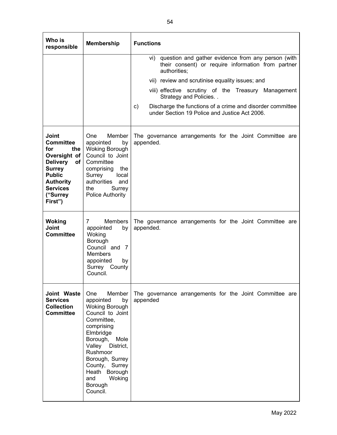| Who is<br>responsible                                                                                                                                                                         | <b>Membership</b>                                                                                                                                                                                                                                                               | <b>Functions</b>                                                                                                                                                                                                                                                                                                                                                                    |
|-----------------------------------------------------------------------------------------------------------------------------------------------------------------------------------------------|---------------------------------------------------------------------------------------------------------------------------------------------------------------------------------------------------------------------------------------------------------------------------------|-------------------------------------------------------------------------------------------------------------------------------------------------------------------------------------------------------------------------------------------------------------------------------------------------------------------------------------------------------------------------------------|
|                                                                                                                                                                                               |                                                                                                                                                                                                                                                                                 | vi) question and gather evidence from any person (with<br>their consent) or require information from partner<br>authorities;<br>vii) review and scrutinise equality issues; and<br>viii) effective scrutiny of the Treasury Management<br>Strategy and Policies<br>Discharge the functions of a crime and disorder committee<br>c)<br>under Section 19 Police and Justice Act 2006. |
| Joint<br><b>Committee</b><br>for<br>the<br>Oversight of<br><b>Delivery</b><br>of <sub>l</sub><br><b>Surrey</b><br><b>Public</b><br><b>Authority</b><br><b>Services</b><br>("Surrey<br>First") | Member<br><b>One</b><br>appointed<br>by<br><b>Woking Borough</b><br>Council to Joint<br>Committee<br>comprising<br>the<br>Surrey<br>local<br>authorities<br>and<br>the<br>Surrey<br>Police Authority                                                                            | The governance arrangements for the Joint Committee are<br>appended.                                                                                                                                                                                                                                                                                                                |
| <b>Woking</b><br>Joint<br><b>Committee</b>                                                                                                                                                    | 7<br><b>Members</b><br>appointed<br>by<br>Woking<br>Borough<br>Council and 7<br><b>Members</b><br>appointed<br>by<br>Surrey County<br>Council.                                                                                                                                  | The governance arrangements for the Joint Committee are<br>appended.                                                                                                                                                                                                                                                                                                                |
| Joint Waste<br><b>Services</b><br><b>Collection</b><br><b>Committee</b>                                                                                                                       | Member<br><b>One</b><br>appointed<br>by<br><b>Woking Borough</b><br>Council to Joint<br>Committee,<br>comprising<br>Elmbridge<br>Borough,<br>Mole<br>Valley District,<br>Rushmoor<br>Borough, Surrey<br>County, Surrey<br>Heath Borough<br>Woking<br>and<br>Borough<br>Council. | The governance arrangements for the Joint Committee are<br>appended                                                                                                                                                                                                                                                                                                                 |

H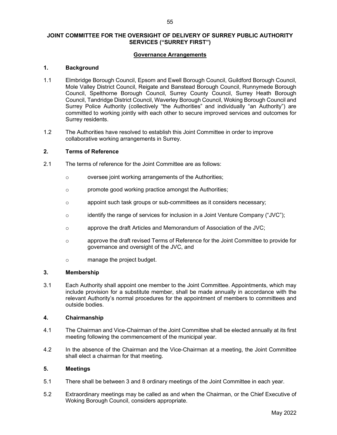#### JOINT COMMITTEE FOR THE OVERSIGHT OF DELIVERY OF SURREY PUBLIC AUTHORITY SERVICES ("SURREY FIRST")

#### Governance Arrangements

#### 1. Background

- 1.1 Elmbridge Borough Council, Epsom and Ewell Borough Council, Guildford Borough Council, Mole Valley District Council, Reigate and Banstead Borough Council, Runnymede Borough Council, Spelthorne Borough Council, Surrey County Council, Surrey Heath Borough Council, Tandridge District Council, Waverley Borough Council, Woking Borough Council and Surrey Police Authority (collectively "the Authorities" and individually "an Authority") are committed to working jointly with each other to secure improved services and outcomes for Surrey residents.
- 1.2 The Authorities have resolved to establish this Joint Committee in order to improve collaborative working arrangements in Surrey.

#### 2. Terms of Reference

- 2.1 The terms of reference for the Joint Committee are as follows:
	- o oversee joint working arrangements of the Authorities;
	- o promote good working practice amongst the Authorities;
	- o appoint such task groups or sub-committees as it considers necessary;
	- $\circ$  identify the range of services for inclusion in a Joint Venture Company ("JVC");
	- o approve the draft Articles and Memorandum of Association of the JVC;
	- o approve the draft revised Terms of Reference for the Joint Committee to provide for governance and oversight of the JVC, and
	- o manage the project budget.

#### 3. Membership

3.1 Each Authority shall appoint one member to the Joint Committee. Appointments, which may include provision for a substitute member, shall be made annually in accordance with the relevant Authority's normal procedures for the appointment of members to committees and outside bodies.

#### 4. Chairmanship

- 4.1 The Chairman and Vice-Chairman of the Joint Committee shall be elected annually at its first meeting following the commencement of the municipal year.
- 4.2 In the absence of the Chairman and the Vice-Chairman at a meeting, the Joint Committee shall elect a chairman for that meeting.

## 5. Meetings

- 5.1 There shall be between 3 and 8 ordinary meetings of the Joint Committee in each year.
- 5.2 Extraordinary meetings may be called as and when the Chairman, or the Chief Executive of Woking Borough Council, considers appropriate.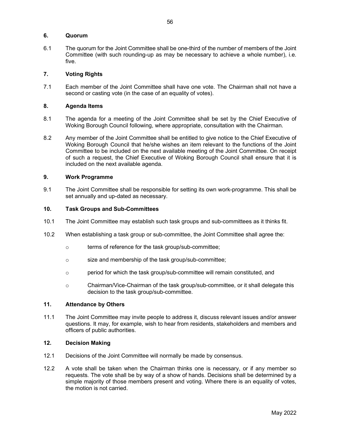#### 6. Quorum

6.1 The quorum for the Joint Committee shall be one-third of the number of members of the Joint Committee (with such rounding-up as may be necessary to achieve a whole number), i.e. five.

### 7. Voting Rights

7.1 Each member of the Joint Committee shall have one vote. The Chairman shall not have a second or casting vote (in the case of an equality of votes).

#### 8. Agenda Items

- 8.1 The agenda for a meeting of the Joint Committee shall be set by the Chief Executive of Woking Borough Council following, where appropriate, consultation with the Chairman.
- 8.2 Any member of the Joint Committee shall be entitled to give notice to the Chief Executive of Woking Borough Council that he/she wishes an item relevant to the functions of the Joint Committee to be included on the next available meeting of the Joint Committee. On receipt of such a request, the Chief Executive of Woking Borough Council shall ensure that it is included on the next available agenda.

#### 9. Work Programme

9.1 The Joint Committee shall be responsible for setting its own work-programme. This shall be set annually and up-dated as necessary.

#### 10. Task Groups and Sub-Committees

- 10.1 The Joint Committee may establish such task groups and sub-committees as it thinks fit.
- 10.2 When establishing a task group or sub-committee, the Joint Committee shall agree the:
	- o terms of reference for the task group/sub-committee;
	- o size and membership of the task group/sub-committee;
	- o period for which the task group/sub-committee will remain constituted, and
	- o Chairman/Vice-Chairman of the task group/sub-committee, or it shall delegate this decision to the task group/sub-committee.

#### 11. Attendance by Others

11.1 The Joint Committee may invite people to address it, discuss relevant issues and/or answer questions. It may, for example, wish to hear from residents, stakeholders and members and officers of public authorities.

#### 12. Decision Making

- 12.1 Decisions of the Joint Committee will normally be made by consensus.
- 12.2 A vote shall be taken when the Chairman thinks one is necessary, or if any member so requests. The vote shall be by way of a show of hands. Decisions shall be determined by a simple majority of those members present and voting. Where there is an equality of votes, the motion is not carried.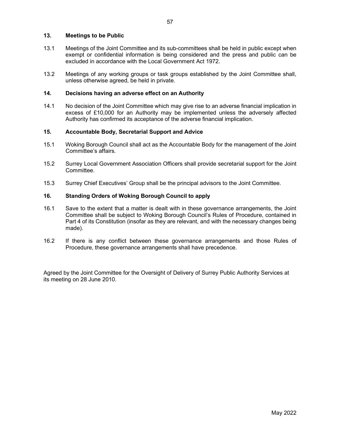#### 13. Meetings to be Public

- 13.1 Meetings of the Joint Committee and its sub-committees shall be held in public except when exempt or confidential information is being considered and the press and public can be excluded in accordance with the Local Government Act 1972.
- 13.2 Meetings of any working groups or task groups established by the Joint Committee shall, unless otherwise agreed, be held in private.

#### 14. Decisions having an adverse effect on an Authority

14.1 No decision of the Joint Committee which may give rise to an adverse financial implication in excess of £10,000 for an Authority may be implemented unless the adversely affected Authority has confirmed its acceptance of the adverse financial implication.

#### 15. Accountable Body, Secretarial Support and Advice

- 15.1 Woking Borough Council shall act as the Accountable Body for the management of the Joint Committee's affairs.
- 15.2 Surrey Local Government Association Officers shall provide secretarial support for the Joint Committee.
- 15.3 Surrey Chief Executives' Group shall be the principal advisors to the Joint Committee.

#### 16. Standing Orders of Woking Borough Council to apply

- 16.1 Save to the extent that a matter is dealt with in these governance arrangements, the Joint Committee shall be subject to Woking Borough Council's Rules of Procedure, contained in Part 4 of its Constitution (insofar as they are relevant, and with the necessary changes being made).
- 16.2 If there is any conflict between these governance arrangements and those Rules of Procedure, these governance arrangements shall have precedence.

Agreed by the Joint Committee for the Oversight of Delivery of Surrey Public Authority Services at its meeting on 28 June 2010.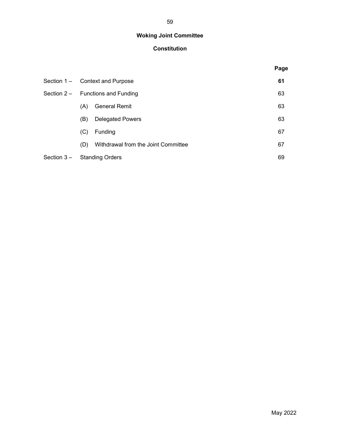# Woking Joint Committee

# Constitution

|             |                                     |                                     |    | Page |
|-------------|-------------------------------------|-------------------------------------|----|------|
|             | Section 1 – Context and Purpose     |                                     |    | 61   |
|             | Section $2 -$ Functions and Funding |                                     |    | 63   |
|             | (A)                                 | <b>General Remit</b>                |    | 63   |
|             | (B)                                 | <b>Delegated Powers</b>             |    | 63   |
|             | (C)                                 | Funding                             |    | 67   |
|             | (D)                                 | Withdrawal from the Joint Committee |    | 67   |
| Section 3 – | <b>Standing Orders</b>              |                                     | 69 |      |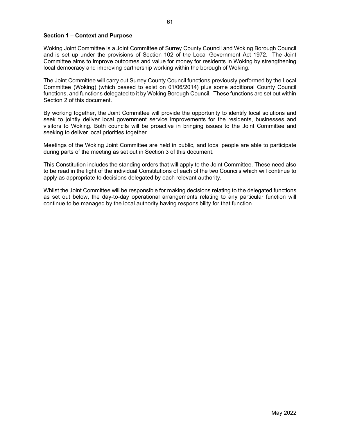#### Section 1 – Context and Purpose

Woking Joint Committee is a Joint Committee of Surrey County Council and Woking Borough Council and is set up under the provisions of Section 102 of the Local Government Act 1972. The Joint Committee aims to improve outcomes and value for money for residents in Woking by strengthening local democracy and improving partnership working within the borough of Woking.

The Joint Committee will carry out Surrey County Council functions previously performed by the Local Committee (Woking) (which ceased to exist on 01/06/2014) plus some additional County Council functions, and functions delegated to it by Woking Borough Council. These functions are set out within Section 2 of this document.

By working together, the Joint Committee will provide the opportunity to identify local solutions and seek to jointly deliver local government service improvements for the residents, businesses and visitors to Woking. Both councils will be proactive in bringing issues to the Joint Committee and seeking to deliver local priorities together.

Meetings of the Woking Joint Committee are held in public, and local people are able to participate during parts of the meeting as set out in Section 3 of this document.

This Constitution includes the standing orders that will apply to the Joint Committee. These need also to be read in the light of the individual Constitutions of each of the two Councils which will continue to apply as appropriate to decisions delegated by each relevant authority.

Whilst the Joint Committee will be responsible for making decisions relating to the delegated functions as set out below, the day-to-day operational arrangements relating to any particular function will continue to be managed by the local authority having responsibility for that function.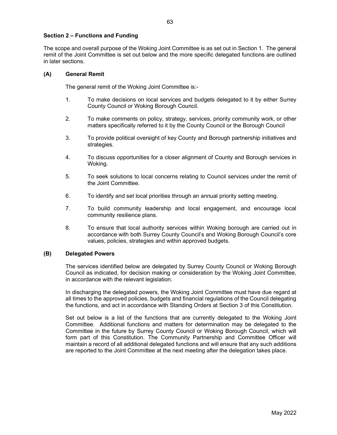#### Section 2 – Functions and Funding

The scope and overall purpose of the Woking Joint Committee is as set out in Section 1. The general remit of the Joint Committee is set out below and the more specific delegated functions are outlined in later sections.

#### (A) General Remit

The general remit of the Woking Joint Committee is:-

- 1. To make decisions on local services and budgets delegated to it by either Surrey County Council or Woking Borough Council.
- 2. To make comments on policy, strategy, services, priority community work, or other matters specifically referred to it by the County Council or the Borough Council
- 3. To provide political oversight of key County and Borough partnership initiatives and strategies.
- 4. To discuss opportunities for a closer alignment of County and Borough services in Woking.
- 5. To seek solutions to local concerns relating to Council services under the remit of the Joint Committee.
- 6. To identify and set local priorities through an annual priority setting meeting.
- 7. To build community leadership and local engagement, and encourage local community resilience plans.
- 8. To ensure that local authority services within Woking borough are carried out in accordance with both Surrey County Council's and Woking Borough Council's core values, policies, strategies and within approved budgets.

#### (B) Delegated Powers

 The services identified below are delegated by Surrey County Council or Woking Borough Council as indicated, for decision making or consideration by the Woking Joint Committee, in accordance with the relevant legislation.

 In discharging the delegated powers, the Woking Joint Committee must have due regard at all times to the approved policies, budgets and financial regulations of the Council delegating the functions, and act in accordance with Standing Orders at Section 3 of this Constitution.

 Set out below is a list of the functions that are currently delegated to the Woking Joint Committee. Additional functions and matters for determination may be delegated to the Committee in the future by Surrey County Council or Woking Borough Council, which will form part of this Constitution. The Community Partnership and Committee Officer will maintain a record of all additional delegated functions and will ensure that any such additions are reported to the Joint Committee at the next meeting after the delegation takes place.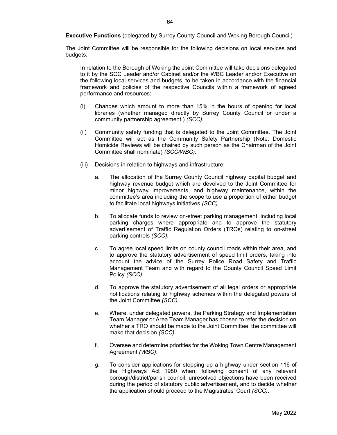Executive Functions (delegated by Surrey County Council and Woking Borough Council)

The Joint Committee will be responsible for the following decisions on local services and budgets:

In relation to the Borough of Woking the Joint Committee will take decisions delegated to it by the SCC Leader and/or Cabinet and/or the WBC Leader and/or Executive on the following local services and budgets, to be taken in accordance with the financial framework and policies of the respective Councils within a framework of agreed performance and resources:

- (i) Changes which amount to more than 15% in the hours of opening for local libraries (whether managed directly by Surrey County Council or under a community partnership agreement.) (SCC)
- (ii) Community safety funding that is delegated to the Joint Committee. The Joint Committee will act as the Community Safety Partnership (Note: Domestic Homicide Reviews will be chaired by such person as the Chairman of the Joint Committee shall nominate) (SCC/WBC).
- (iii) Decisions in relation to highways and infrastructure:
	- a. The allocation of the Surrey County Council highway capital budget and highway revenue budget which are devolved to the Joint Committee for minor highway improvements, and highway maintenance, within the committee's area including the scope to use a proportion of either budget to facilitate local highways initiatives (SCC).
	- b. To allocate funds to review on-street parking management, including local parking charges where appropriate and to approve the statutory advertisement of Traffic Regulation Orders (TROs) relating to on-street parking controls (SCC).
	- c. To agree local speed limits on county council roads within their area, and to approve the statutory advertisement of speed limit orders, taking into account the advice of the Surrey Police Road Safety and Traffic Management Team and with regard to the County Council Speed Limit Policy (SCC).
	- d. To approve the statutory advertisement of all legal orders or appropriate notifications relating to highway schemes within the delegated powers of the Joint Committee (SCC).
	- e. Where, under delegated powers, the Parking Strategy and Implementation Team Manager or Area Team Manager has chosen to refer the decision on whether a TRO should be made to the Joint Committee, the committee will make that decision (SCC).
	- f. Oversee and determine priorities for the Woking Town Centre Management Agreement (WBC).
	- g. To consider applications for stopping up a highway under section 116 of the Highways Act 1980 when, following consent of any relevant borough/district/parish council, unresolved objections have been received during the period of statutory public advertisement, and to decide whether the application should proceed to the Magistrates' Court (SCC).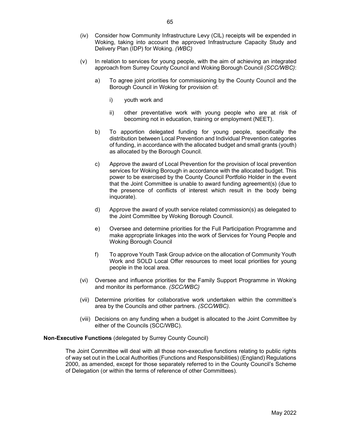- (iv) Consider how Community Infrastructure Levy (CIL) receipts will be expended in Woking, taking into account the approved Infrastructure Capacity Study and Delivery Plan (IDP) for Woking. (WBC)
- (v) In relation to services for young people, with the aim of achieving an integrated approach from Surrey County Council and Woking Borough Council (SCC/WBC):
	- a) To agree joint priorities for commissioning by the County Council and the Borough Council in Woking for provision of:
		- i) youth work and
		- ii) other preventative work with young people who are at risk of becoming not in education, training or employment (NEET).
	- b) To apportion delegated funding for young people, specifically the distribution between Local Prevention and Individual Prevention categories of funding, in accordance with the allocated budget and small grants (youth) as allocated by the Borough Council.
	- c) Approve the award of Local Prevention for the provision of local prevention services for Woking Borough in accordance with the allocated budget. This power to be exercised by the County Council Portfolio Holder in the event that the Joint Committee is unable to award funding agreement(s) (due to the presence of conflicts of interest which result in the body being inquorate).
	- d) Approve the award of youth service related commission(s) as delegated to the Joint Committee by Woking Borough Council.
	- e) Oversee and determine priorities for the Full Participation Programme and make appropriate linkages into the work of Services for Young People and Woking Borough Council
	- f) To approve Youth Task Group advice on the allocation of Community Youth Work and SOLD Local Offer resources to meet local priorities for young people in the local area.
- (vi) Oversee and influence priorities for the Family Support Programme in Woking and monitor its performance. (SCC/WBC)
- (vii) Determine priorities for collaborative work undertaken within the committee's area by the Councils and other partners. (SCC/WBC).
- (viii) Decisions on any funding when a budget is allocated to the Joint Committee by either of the Councils (SCC/WBC).

#### Non-Executive Functions (delegated by Surrey County Council)

 The Joint Committee will deal with all those non-executive functions relating to public rights of way set out in the Local Authorities (Functions and Responsibilities) (England) Regulations 2000, as amended, except for those separately referred to in the County Council's Scheme of Delegation (or within the terms of reference of other Committees).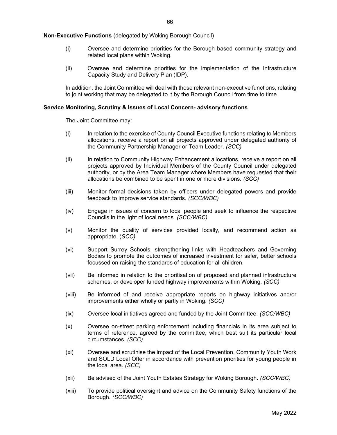Non-Executive Functions (delegated by Woking Borough Council)

- (i) Oversee and determine priorities for the Borough based community strategy and related local plans within Woking.
- (ii) Oversee and determine priorities for the implementation of the Infrastructure Capacity Study and Delivery Plan (IDP).

In addition, the Joint Committee will deal with those relevant non-executive functions, relating to joint working that may be delegated to it by the Borough Council from time to time.

#### Service Monitoring, Scrutiny & Issues of Local Concern- advisory functions

The Joint Committee may:

- (i) In relation to the exercise of County Council Executive functions relating to Members allocations, receive a report on all projects approved under delegated authority of the Community Partnership Manager or Team Leader. (SCC)
- (ii) In relation to Community Highway Enhancement allocations, receive a report on all projects approved by Individual Members of the County Council under delegated authority, or by the Area Team Manager where Members have requested that their allocations be combined to be spent in one or more divisions. (SCC)
- (iii) Monitor formal decisions taken by officers under delegated powers and provide feedback to improve service standards. (SCC/WBC)
- (iv) Engage in issues of concern to local people and seek to influence the respective Councils in the light of local needs. (SCC/WBC)
- (v) Monitor the quality of services provided locally, and recommend action as appropriate. (SCC)
- (vi) Support Surrey Schools, strengthening links with Headteachers and Governing Bodies to promote the outcomes of increased investment for safer, better schools focussed on raising the standards of education for all children.
- (vii) Be informed in relation to the prioritisation of proposed and planned infrastructure schemes, or developer funded highway improvements within Woking. (SCC)
- (viii) Be informed of and receive appropriate reports on highway initiatives and/or improvements either wholly or partly in Woking. (SCC)
- (ix) Oversee local initiatives agreed and funded by the Joint Committee. (SCC/WBC)
- (x) Oversee on-street parking enforcement including financials in its area subject to terms of reference, agreed by the committee, which best suit its particular local circumstances. (SCC)
- (xi) Oversee and scrutinise the impact of the Local Prevention, Community Youth Work and SOLD Local Offer in accordance with prevention priorities for young people in the local area. (SCC)
- (xii) Be advised of the Joint Youth Estates Strategy for Woking Borough. (SCC/WBC)
- (xiii) To provide political oversight and advice on the Community Safety functions of the Borough. (SCC/WBC)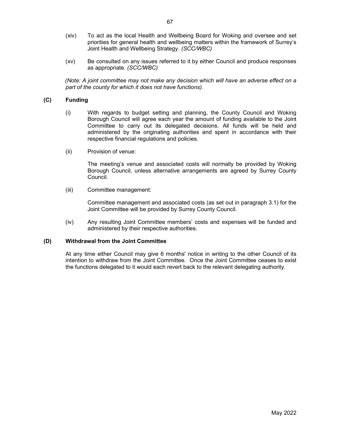- (xiv) To act as the local Health and Wellbeing Board for Woking and oversee and set priorities for general health and wellbeing matters within the framework of Surrey's Joint Health and Wellbeing Strategy. (SCC/WBC)
- (xv) Be consulted on any issues referred to it by either Council and produce responses as appropriate. (SCC/WBC)

(Note: A joint committee may not make any decision which will have an adverse effect on a part of the county for which it does not have functions).

# (C) Funding

- (i) With regards to budget setting and planning, the County Council and Woking Borough Council will agree each year the amount of funding available to the Joint Committee to carry out its delegated decisions. All funds will be held and administered by the originating authorities and spent in accordance with their respective financial regulations and policies.
- (ii) Provision of venue:

The meeting's venue and associated costs will normally be provided by Woking Borough Council, unless alternative arrangements are agreed by Surrey County Council.

(iii) Committee management:

Committee management and associated costs (as set out in paragraph 3.1) for the Joint Committee will be provided by Surrey County Council.

(iv) Any resulting Joint Committee members' costs and expenses will be funded and administered by their respective authorities.

#### (D) Withdrawal from the Joint Committee

 At any time either Council may give 6 months' notice in writing to the other Council of its intention to withdraw from the Joint Committee. Once the Joint Committee ceases to exist the functions delegated to it would each revert back to the relevant delegating authority.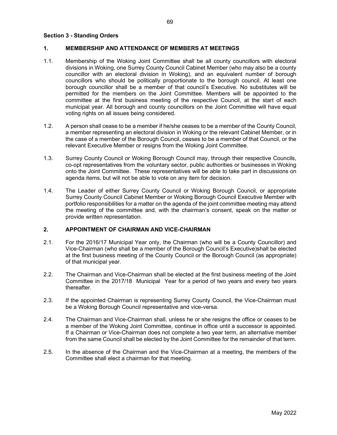#### Section 3 - Standing Orders

#### 1. MEMBERSHIP AND ATTENDANCE OF MEMBERS AT MEETINGS

- 1.1. Membership of the Woking Joint Committee shall be all county councillors with electoral divisions in Woking, one Surrey County Council Cabinet Member (who may also be a county councillor with an electoral division in Woking), and an equivalent number of borough councillors who should be politically proportionate to the borough council. At least one borough councillor shall be a member of that council's Executive. No substitutes will be permitted for the members on the Joint Committee. Members will be appointed to the committee at the first business meeting of the respective Council, at the start of each municipal year. All borough and county councillors on the Joint Committee will have equal voting rights on all issues being considered.
- 1.2. A person shall cease to be a member if he/she ceases to be a member of the County Council, a member representing an electoral division in Woking or the relevant Cabinet Member, or in the case of a member of the Borough Council, ceases to be a member of that Council, or the relevant Executive Member or resigns from the Woking Joint Committee.
- 1.3. Surrey County Council or Woking Borough Council may, through their respective Councils, co-opt representatives from the voluntary sector, public authorities or businesses in Woking onto the Joint Committee. These representatives will be able to take part in discussions on agenda items, but will not be able to vote on any item for decision.
- 1.4. The Leader of either Surrey County Council or Woking Borough Council, or appropriate Surrey County Council Cabinet Member or Woking Borough Council Executive Member with portfolio responsibilities for a matter on the agenda of the joint committee meeting may attend the meeting of the committee and, with the chairman's consent, speak on the matter or provide written representation.

#### 2. APPOINTMENT OF CHAIRMAN AND VICE-CHAIRMAN

- 2.1. For the 2016/17 Municipal Year only, the Chairman (who will be a County Councillor) and Vice-Chairman (who shall be a member of the Borough Council's Executive)shall be elected at the first business meeting of the County Council or the Borough Council (as appropriate) of that municipal year.
- 2.2. The Chairman and Vice-Chairman shall be elected at the first business meeting of the Joint Committee in the 2017/18 Municipal Year for a period of two years and every two years thereafter.
- 2.3. If the appointed Chairman is representing Surrey County Council, the Vice-Chairman must be a Woking Borough Council representative and vice-versa.
- 2.4. The Chairman and Vice-Chairman shall, unless he or she resigns the office or ceases to be a member of the Woking Joint Committee, continue in office until a successor is appointed. If a Chairman or Vice-Chairman does not complete a two year term, an alternative member from the same Council shall be elected by the Joint Committee for the remainder of that term.
- 2.5. In the absence of the Chairman and the Vice-Chairman at a meeting, the members of the Committee shall elect a chairman for that meeting.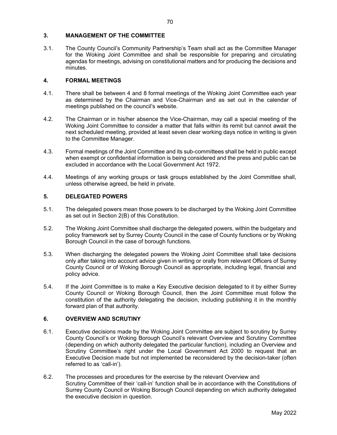#### 3. MANAGEMENT OF THE COMMITTEE

3.1. The County Council's Community Partnership's Team shall act as the Committee Manager for the Woking Joint Committee and shall be responsible for preparing and circulating agendas for meetings, advising on constitutional matters and for producing the decisions and minutes.

### 4. FORMAL MEETINGS

- 4.1. There shall be between 4 and 8 formal meetings of the Woking Joint Committee each year as determined by the Chairman and Vice-Chairman and as set out in the calendar of meetings published on the council's website.
- 4.2. The Chairman or in his/her absence the Vice-Chairman, may call a special meeting of the Woking Joint Committee to consider a matter that falls within its remit but cannot await the next scheduled meeting, provided at least seven clear working days notice in writing is given to the Committee Manager.
- 4.3. Formal meetings of the Joint Committee and its sub-committees shall be held in public except when exempt or confidential information is being considered and the press and public can be excluded in accordance with the Local Government Act 1972.
- 4.4. Meetings of any working groups or task groups established by the Joint Committee shall, unless otherwise agreed, be held in private.

#### 5. DELEGATED POWERS

- 5.1. The delegated powers mean those powers to be discharged by the Woking Joint Committee as set out in Section 2(B) of this Constitution.
- 5.2. The Woking Joint Committee shall discharge the delegated powers, within the budgetary and policy framework set by Surrey County Council in the case of County functions or by Woking Borough Council in the case of borough functions.
- 5.3. When discharging the delegated powers the Woking Joint Committee shall take decisions only after taking into account advice given in writing or orally from relevant Officers of Surrey County Council or of Woking Borough Council as appropriate, including legal, financial and policy advice.
- 5.4. If the Joint Committee is to make a Key Executive decision delegated to it by either Surrey County Council or Woking Borough Council, then the Joint Committee must follow the constitution of the authority delegating the decision, including publishing it in the monthly forward plan of that authority.

#### 6. OVERVIEW AND SCRUTINY

- 6.1. Executive decisions made by the Woking Joint Committee are subject to scrutiny by Surrey County Council's or Woking Borough Council's relevant Overview and Scrutiny Committee (depending on which authority delegated the particular function), including an Overview and Scrutiny Committee's right under the Local Government Act 2000 to request that an Executive Decision made but not implemented be reconsidered by the decision-taker (often referred to as 'call-in').
- 6.2. The processes and procedures for the exercise by the relevant Overview and Scrutiny Committee of their 'call-in' function shall be in accordance with the Constitutions of Surrey County Council or Woking Borough Council depending on which authority delegated the executive decision in question.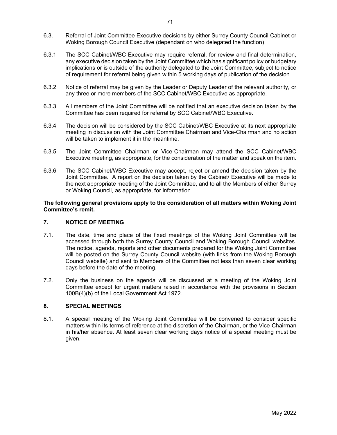- 6.3. Referral of Joint Committee Executive decisions by either Surrey County Council Cabinet or Woking Borough Council Executive (dependant on who delegated the function)
- 6.3.1 The SCC Cabinet/WBC Executive may require referral, for review and final determination, any executive decision taken by the Joint Committee which has significant policy or budgetary implications or is outside of the authority delegated to the Joint Committee, subject to notice of requirement for referral being given within 5 working days of publication of the decision.
- 6.3.2 Notice of referral may be given by the Leader or Deputy Leader of the relevant authority, or any three or more members of the SCC Cabinet/WBC Executive as appropriate.
- 6.3.3 All members of the Joint Committee will be notified that an executive decision taken by the Committee has been required for referral by SCC Cabinet/WBC Executive.
- 6.3.4 The decision will be considered by the SCC Cabinet/WBC Executive at its next appropriate meeting in discussion with the Joint Committee Chairman and Vice-Chairman and no action will be taken to implement it in the meantime.
- 6.3.5 The Joint Committee Chairman or Vice-Chairman may attend the SCC Cabinet/WBC Executive meeting, as appropriate, for the consideration of the matter and speak on the item.
- 6.3.6 The SCC Cabinet/WBC Executive may accept, reject or amend the decision taken by the Joint Committee. A report on the decision taken by the Cabinet/ Executive will be made to the next appropriate meeting of the Joint Committee, and to all the Members of either Surrey or Woking Council, as appropriate, for information.

#### The following general provisions apply to the consideration of all matters within Woking Joint Committee's remit.

#### 7. NOTICE OF MEETING

- 7.1. The date, time and place of the fixed meetings of the Woking Joint Committee will be accessed through both the Surrey County Council and Woking Borough Council websites. The notice, agenda, reports and other documents prepared for the Woking Joint Committee will be posted on the Surrey County Council website (with links from the Woking Borough Council website) and sent to Members of the Committee not less than seven clear working days before the date of the meeting.
- 7.2. Only the business on the agenda will be discussed at a meeting of the Woking Joint Committee except for urgent matters raised in accordance with the provisions in Section 100B(4)(b) of the Local Government Act 1972.

## 8. SPECIAL MEETINGS

8.1. A special meeting of the Woking Joint Committee will be convened to consider specific matters within its terms of reference at the discretion of the Chairman, or the Vice-Chairman in his/her absence. At least seven clear working days notice of a special meeting must be given.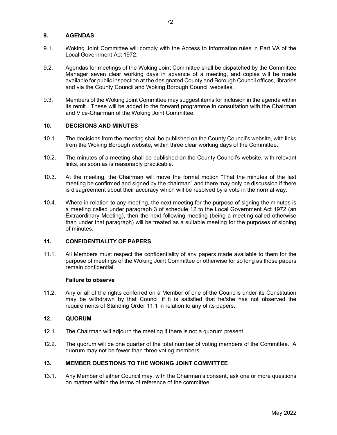#### 9. AGENDAS

- 9.1. Woking Joint Committee will comply with the Access to Information rules in Part VA of the Local Government Act 1972.
- 9.2. Agendas for meetings of the Woking Joint Committee shall be dispatched by the Committee Manager seven clear working days in advance of a meeting, and copies will be made available for public inspection at the designated County and Borough Council offices, libraries and via the County Council and Woking Borough Council websites.
- 9.3. Members of the Woking Joint Committee may suggest items for inclusion in the agenda within its remit. These will be added to the forward programme in consultation with the Chairman and Vice-Chairman of the Woking Joint Committee.

#### 10. DECISIONS AND MINUTES

- 10.1. The decisions from the meeting shall be published on the County Council's website, with links from the Woking Borough website, within three clear working days of the Committee.
- 10.2. The minutes of a meeting shall be published on the County Council's website, with relevant links, as soon as is reasonably practicable.
- 10.3. At the meeting, the Chairman will move the formal motion "That the minutes of the last meeting be confirmed and signed by the chairman" and there may only be discussion if there is disagreement about their accuracy which will be resolved by a vote in the normal way.
- 10.4. Where in relation to any meeting, the next meeting for the purpose of signing the minutes is a meeting called under paragraph 3 of schedule 12 to the Local Government Act 1972 (an Extraordinary Meeting), then the next following meeting (being a meeting called otherwise than under that paragraph) will be treated as a suitable meeting for the purposes of signing of minutes.

#### 11. CONFIDENTIALITY OF PAPERS

11.1. All Members must respect the confidentiality of any papers made available to them for the purpose of meetings of the Woking Joint Committee or otherwise for so long as those papers remain confidential.

#### Failure to observe

11.2. Any or all of the rights conferred on a Member of one of the Councils under its Constitution may be withdrawn by that Council if it is satisfied that he/she has not observed the requirements of Standing Order 11.1 in relation to any of its papers.

#### 12. QUORUM

- 12.1. The Chairman will adjourn the meeting if there is not a quorum present.
- 12.2. The quorum will be one quarter of the total number of voting members of the Committee. A quorum may not be fewer than three voting members.

#### 13. MEMBER QUESTIONS TO THE WOKING JOINT COMMITTEE

13.1. Any Member of either Council may, with the Chairman's consent, ask one or more questions on matters within the terms of reference of the committee.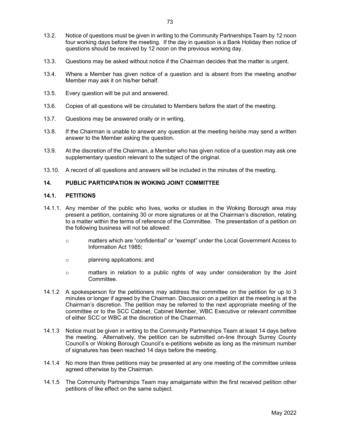- 13.2. Notice of questions must be given in writing to the Community Partnerships Team by 12 noon four working days before the meeting. If the day in question is a Bank Holiday then notice of questions should be received by 12 noon on the previous working day.
- 13.3. Questions may be asked without notice if the Chairman decides that the matter is urgent.
- 13.4. Where a Member has given notice of a question and is absent from the meeting another Member may ask it on his/her behalf.
- 13.5. Every question will be put and answered.
- 13.6. Copies of all questions will be circulated to Members before the start of the meeting.
- 13.7. Questions may be answered orally or in writing.
- 13.8. If the Chairman is unable to answer any question at the meeting he/she may send a written answer to the Member asking the question.
- 13.9. At the discretion of the Chairman, a Member who has given notice of a question may ask one supplementary question relevant to the subject of the original.
- 13.10. A record of all questions and answers will be included in the minutes of the meeting.

# 14. PUBLIC PARTICIPATION IN WOKING JOINT COMMITTEE

#### 14.1. PETITIONS

- 14.1.1. Any member of the public who lives, works or studies in the Woking Borough area may present a petition, containing 30 or more signatures or at the Chairman's discretion, relating to a matter within the terms of reference of the Committee. The presentation of a petition on the following business will not be allowed:
	- o matters which are "confidential" or "exempt" under the Local Government Access to Information Act 1985;
	- o planning applications; and
	- o matters in relation to a public rights of way under consideration by the Joint Committee.
- 14.1.2 A spokesperson for the petitioners may address the committee on the petition for up to 3 minutes or longer if agreed by the Chairman. Discussion on a petition at the meeting is at the Chairman's discretion. The petition may be referred to the next appropriate meeting of the committee or to the SCC Cabinet, Cabinet Member, WBC Executive or relevant committee of either SCC or WBC at the discretion of the Chairman.
- 14.1.3 Notice must be given in writing to the Community Partnerships Team at least 14 days before the meeting. Alternatively, the petition can be submitted on-line through Surrey County Council's or Woking Borough Council's e-petitions website as long as the minimum number of signatures has been reached 14 days before the meeting.
- 14.1.4 No more than three petitions may be presented at any one meeting of the committee unless agreed otherwise by the Chairman.
- 14.1.5 The Community Partnerships Team may amalgamate within the first received petition other petitions of like effect on the same subject.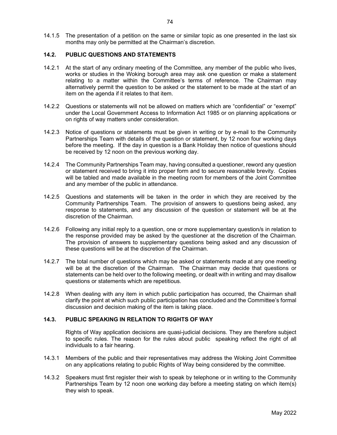14.1.5 The presentation of a petition on the same or similar topic as one presented in the last six months may only be permitted at the Chairman's discretion.

# 14.2. PUBLIC QUESTIONS AND STATEMENTS

- 14.2.1 At the start of any ordinary meeting of the Committee, any member of the public who lives, works or studies in the Woking borough area may ask one question or make a statement relating to a matter within the Committee's terms of reference. The Chairman may alternatively permit the question to be asked or the statement to be made at the start of an item on the agenda if it relates to that item.
- 14.2.2 Questions or statements will not be allowed on matters which are "confidential" or "exempt" under the Local Government Access to Information Act 1985 or on planning applications or on rights of way matters under consideration.
- 14.2.3 Notice of questions or statements must be given in writing or by e-mail to the Community Partnerships Team with details of the question or statement, by 12 noon four working days before the meeting. If the day in question is a Bank Holiday then notice of questions should be received by 12 noon on the previous working day.
- 14.2.4 The Community Partnerships Team may, having consulted a questioner, reword any question or statement received to bring it into proper form and to secure reasonable brevity. Copies will be tabled and made available in the meeting room for members of the Joint Committee and any member of the public in attendance.
- 14.2.5 Questions and statements will be taken in the order in which they are received by the Community Partnerships Team. The provision of answers to questions being asked, any response to statements, and any discussion of the question or statement will be at the discretion of the Chairman.
- 14.2.6 Following any initial reply to a question, one or more supplementary question/s in relation to the response provided may be asked by the questioner at the discretion of the Chairman. The provision of answers to supplementary questions being asked and any discussion of these questions will be at the discretion of the Chairman.
- 14.2.7 The total number of questions which may be asked or statements made at any one meeting will be at the discretion of the Chairman. The Chairman may decide that questions or statements can be held over to the following meeting, or dealt with in writing and may disallow questions or statements which are repetitious.
- 14.2.8 When dealing with any item in which public participation has occurred, the Chairman shall clarify the point at which such public participation has concluded and the Committee's formal discussion and decision making of the item is taking place.

#### 14.3. PUBLIC SPEAKING IN RELATION TO RIGHTS OF WAY

Rights of Way application decisions are quasi-judicial decisions. They are therefore subject to specific rules. The reason for the rules about public speaking reflect the right of all individuals to a fair hearing.

- 14.3.1 Members of the public and their representatives may address the Woking Joint Committee on any applications relating to public Rights of Way being considered by the committee.
- 14.3.2 Speakers must first register their wish to speak by telephone or in writing to the Community Partnerships Team by 12 noon one working day before a meeting stating on which item(s) they wish to speak.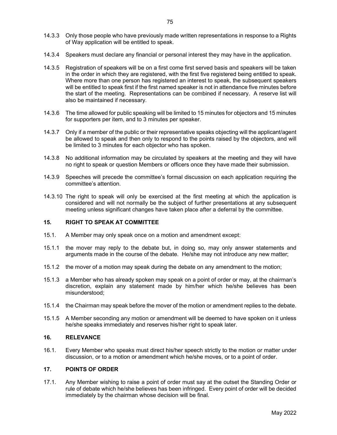- 14.3.4 Speakers must declare any financial or personal interest they may have in the application.
- 14.3.5 Registration of speakers will be on a first come first served basis and speakers will be taken in the order in which they are registered, with the first five registered being entitled to speak. Where more than one person has registered an interest to speak, the subsequent speakers will be entitled to speak first if the first named speaker is not in attendance five minutes before the start of the meeting. Representations can be combined if necessary. A reserve list will also be maintained if necessary.
- 14.3.6 The time allowed for public speaking will be limited to 15 minutes for objectors and 15 minutes for supporters per item, and to 3 minutes per speaker.
- 14.3.7 Only if a member of the public or their representative speaks objecting will the applicant/agent be allowed to speak and then only to respond to the points raised by the objectors, and will be limited to 3 minutes for each objector who has spoken.
- 14.3.8 No additional information may be circulated by speakers at the meeting and they will have no right to speak or question Members or officers once they have made their submission.
- 14.3.9 Speeches will precede the committee's formal discussion on each application requiring the committee's attention.
- 14.3.10 The right to speak will only be exercised at the first meeting at which the application is considered and will not normally be the subject of further presentations at any subsequent meeting unless significant changes have taken place after a deferral by the committee.

# 15. RIGHT TO SPEAK AT COMMITTEE

- 15.1. A Member may only speak once on a motion and amendment except:
- 15.1.1 the mover may reply to the debate but, in doing so, may only answer statements and arguments made in the course of the debate. He/she may not introduce any new matter;
- 15.1.2 the mover of a motion may speak during the debate on any amendment to the motion;
- 15.1.3 a Member who has already spoken may speak on a point of order or may, at the chairman's discretion, explain any statement made by him/her which he/she believes has been misunderstood;
- 15.1.4 the Chairman may speak before the mover of the motion or amendment replies to the debate.
- 15.1.5 A Member seconding any motion or amendment will be deemed to have spoken on it unless he/she speaks immediately and reserves his/her right to speak later.

#### 16. RELEVANCE

16.1. Every Member who speaks must direct his/her speech strictly to the motion or matter under discussion, or to a motion or amendment which he/she moves, or to a point of order.

#### 17. POINTS OF ORDER

17.1. Any Member wishing to raise a point of order must say at the outset the Standing Order or rule of debate which he/she believes has been infringed. Every point of order will be decided immediately by the chairman whose decision will be final.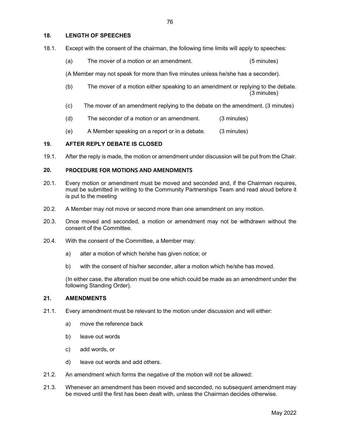#### 18. LENGTH OF SPEECHES

- 18.1. Except with the consent of the chairman, the following time limits will apply to speeches:
	- (a) The mover of a motion or an amendment. (5 minutes)

(A Member may not speak for more than five minutes unless he/she has a seconder).

- (b) The mover of a motion either speaking to an amendment or replying to the debate. (3 minutes)
- (c) The mover of an amendment replying to the debate on the amendment. (3 minutes)
- (d) The seconder of a motion or an amendment. (3 minutes)
- (e) A Member speaking on a report or in a debate. (3 minutes)

#### 19. AFTER REPLY DEBATE IS CLOSED

19.1. After the reply is made, the motion or amendment under discussion will be put from the Chair.

### 20. PROCEDURE FOR MOTIONS AND AMENDMENTS

- 20.1. Every motion or amendment must be moved and seconded and, if the Chairman requires, must be submitted in writing to the Community Partnerships Team and read aloud before it is put to the meeting
- 20.2. A Member may not move or second more than one amendment on any motion.
- 20.3. Once moved and seconded, a motion or amendment may not be withdrawn without the consent of the Committee.
- 20.4. With the consent of the Committee, a Member may:
	- a) alter a motion of which he/she has given notice; or
	- b) with the consent of his/her seconder, alter a motion which he/she has moved.

 (In either case, the alteration must be one which could be made as an amendment under the following Standing Order).

#### 21. AMENDMENTS

- 21.1. Every amendment must be relevant to the motion under discussion and will either:
	- a) move the reference back
	- b) leave out words
	- c) add words, or
	- d) leave out words and add others.
- 21.2. An amendment which forms the negative of the motion will not be allowed:
- 21.3. Whenever an amendment has been moved and seconded, no subsequent amendment may be moved until the first has been dealt with, unless the Chairman decides otherwise.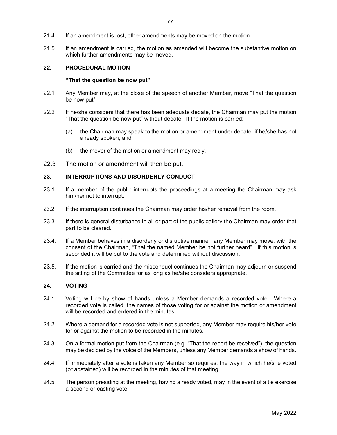- 21.4. If an amendment is lost, other amendments may be moved on the motion.
- 21.5. If an amendment is carried, the motion as amended will become the substantive motion on which further amendments may be moved.

### 22. PROCEDURAL MOTION

#### "That the question be now put"

- 22.1 Any Member may, at the close of the speech of another Member, move "That the question be now put".
- 22.2 If he/she considers that there has been adequate debate, the Chairman may put the motion "That the question be now put" without debate. If the motion is carried:
	- (a) the Chairman may speak to the motion or amendment under debate, if he/she has not already spoken; and
	- (b) the mover of the motion or amendment may reply.
- 22.3 The motion or amendment will then be put.

#### 23. INTERRUPTIONS AND DISORDERLY CONDUCT

- 23.1. If a member of the public interrupts the proceedings at a meeting the Chairman may ask him/her not to interrupt.
- 23.2. If the interruption continues the Chairman may order his/her removal from the room.
- 23.3. If there is general disturbance in all or part of the public gallery the Chairman may order that part to be cleared.
- 23.4. If a Member behaves in a disorderly or disruptive manner, any Member may move, with the consent of the Chairman, "That the named Member be not further heard". If this motion is seconded it will be put to the vote and determined without discussion.
- 23.5. If the motion is carried and the misconduct continues the Chairman may adjourn or suspend the sitting of the Committee for as long as he/she considers appropriate.

#### 24. VOTING

- 24.1. Voting will be by show of hands unless a Member demands a recorded vote. Where a recorded vote is called, the names of those voting for or against the motion or amendment will be recorded and entered in the minutes.
- 24.2. Where a demand for a recorded vote is not supported, any Member may require his/her vote for or against the motion to be recorded in the minutes.
- 24.3. On a formal motion put from the Chairman (e.g. "That the report be received"), the question may be decided by the voice of the Members, unless any Member demands a show of hands.
- 24.4. If immediately after a vote is taken any Member so requires, the way in which he/she voted (or abstained) will be recorded in the minutes of that meeting.
- 24.5. The person presiding at the meeting, having already voted, may in the event of a tie exercise a second or casting vote.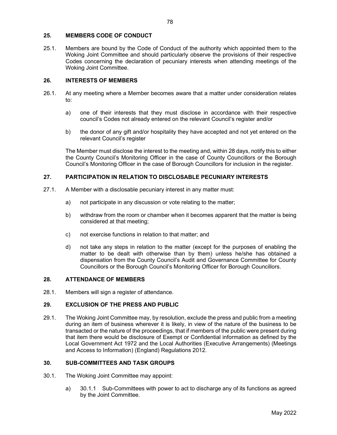#### 25. MEMBERS CODE OF CONDUCT

25.1. Members are bound by the Code of Conduct of the authority which appointed them to the Woking Joint Committee and should particularly observe the provisions of their respective Codes concerning the declaration of pecuniary interests when attending meetings of the Woking Joint Committee.

#### 26. INTERESTS OF MEMBERS

- 26.1. At any meeting where a Member becomes aware that a matter under consideration relates to:
	- a) one of their interests that they must disclose in accordance with their respective council's Codes not already entered on the relevant Council's register and/or
	- b) the donor of any gift and/or hospitality they have accepted and not yet entered on the relevant Council's register

The Member must disclose the interest to the meeting and, within 28 days, notify this to either the County Council's Monitoring Officer in the case of County Councillors or the Borough Council's Monitoring Officer in the case of Borough Councillors for inclusion in the register.

#### 27. PARTICIPATION IN RELATION TO DISCLOSABLE PECUNIARY INTERESTS

- 27.1. A Member with a disclosable pecuniary interest in any matter must:
	- a) not participate in any discussion or vote relating to the matter;
	- b) withdraw from the room or chamber when it becomes apparent that the matter is being considered at that meeting;
	- c) not exercise functions in relation to that matter; and
	- d) not take any steps in relation to the matter (except for the purposes of enabling the matter to be dealt with otherwise than by them) unless he/she has obtained a dispensation from the County Council's Audit and Governance Committee for County Councillors or the Borough Council's Monitoring Officer for Borough Councillors.

#### 28. ATTENDANCE OF MEMBERS

28.1. Members will sign a register of attendance.

#### 29. EXCLUSION OF THE PRESS AND PUBLIC

29.1. The Woking Joint Committee may, by resolution, exclude the press and public from a meeting during an item of business wherever it is likely, in view of the nature of the business to be transacted or the nature of the proceedings, that if members of the public were present during that item there would be disclosure of Exempt or Confidential information as defined by the Local Government Act 1972 and the Local Authorities (Executive Arrangements) (Meetings and Access to Information) (England) Regulations 2012.

#### 30. SUB-COMMITTEES AND TASK GROUPS

- 30.1. The Woking Joint Committee may appoint:
	- a) 30.1.1 Sub-Committees with power to act to discharge any of its functions as agreed by the Joint Committee.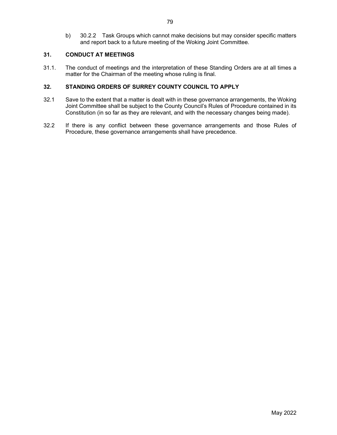b) 30.2.2 Task Groups which cannot make decisions but may consider specific matters and report back to a future meeting of the Woking Joint Committee.

# 31. CONDUCT AT MEETINGS

31.1. The conduct of meetings and the interpretation of these Standing Orders are at all times a matter for the Chairman of the meeting whose ruling is final.

#### 32. STANDING ORDERS OF SURREY COUNTY COUNCIL TO APPLY

- 32.1 Save to the extent that a matter is dealt with in these governance arrangements, the Woking Joint Committee shall be subject to the County Council's Rules of Procedure contained in its Constitution (in so far as they are relevant, and with the necessary changes being made).
- 32.2 If there is any conflict between these governance arrangements and those Rules of Procedure, these governance arrangements shall have precedence.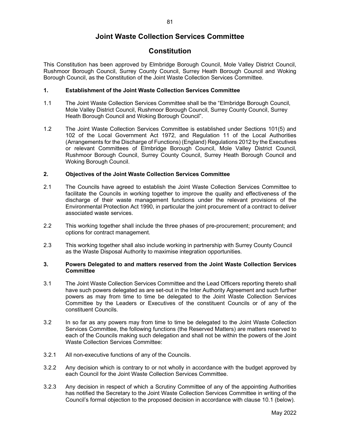# Joint Waste Collection Services Committee

# **Constitution**

This Constitution has been approved by Elmbridge Borough Council, Mole Valley District Council, Rushmoor Borough Council, Surrey County Council, Surrey Heath Borough Council and Woking Borough Council, as the Constitution of the Joint Waste Collection Services Committee.

#### 1. Establishment of the Joint Waste Collection Services Committee

- 1.1 The Joint Waste Collection Services Committee shall be the "Elmbridge Borough Council, Mole Valley District Council, Rushmoor Borough Council, Surrey County Council, Surrey Heath Borough Council and Woking Borough Council".
- 1.2 The Joint Waste Collection Services Committee is established under Sections 101(5) and 102 of the Local Government Act 1972, and Regulation 11 of the Local Authorities (Arrangements for the Discharge of Functions) (England) Regulations 2012 by the Executives or relevant Committees of Elmbridge Borough Council, Mole Valley District Council, Rushmoor Borough Council, Surrey County Council, Surrey Heath Borough Council and Woking Borough Council.

#### 2. Objectives of the Joint Waste Collection Services Committee

- 2.1 The Councils have agreed to establish the Joint Waste Collection Services Committee to facilitate the Councils in working together to improve the quality and effectiveness of the discharge of their waste management functions under the relevant provisions of the Environmental Protection Act 1990, in particular the joint procurement of a contract to deliver associated waste services.
- 2.2 This working together shall include the three phases of pre-procurement; procurement; and options for contract management.
- 2.3 This working together shall also include working in partnership with Surrey County Council as the Waste Disposal Authority to maximise integration opportunities.

#### 3. Powers Delegated to and matters reserved from the Joint Waste Collection Services **Committee**

- 3.1 The Joint Waste Collection Services Committee and the Lead Officers reporting thereto shall have such powers delegated as are set-out in the Inter Authority Agreement and such further powers as may from time to time be delegated to the Joint Waste Collection Services Committee by the Leaders or Executives of the constituent Councils or of any of the constituent Councils.
- 3.2 In so far as any powers may from time to time be delegated to the Joint Waste Collection Services Committee, the following functions (the Reserved Matters) are matters reserved to each of the Councils making such delegation and shall not be within the powers of the Joint Waste Collection Services Committee:
- 3.2.1 All non-executive functions of any of the Councils.
- 3.2.2 Any decision which is contrary to or not wholly in accordance with the budget approved by each Council for the Joint Waste Collection Services Committee.
- 3.2.3 Any decision in respect of which a Scrutiny Committee of any of the appointing Authorities has notified the Secretary to the Joint Waste Collection Services Committee in writing of the Council's formal objection to the proposed decision in accordance with clause 10.1 (below).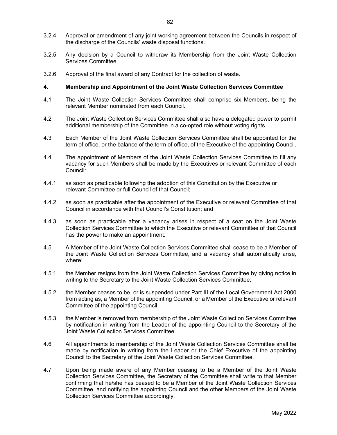- 3.2.4 Approval or amendment of any joint working agreement between the Councils in respect of the discharge of the Councils' waste disposal functions.
- 3.2.5 Any decision by a Council to withdraw its Membership from the Joint Waste Collection Services Committee.
- 3.2.6 Approval of the final award of any Contract for the collection of waste.

#### 4. Membership and Appointment of the Joint Waste Collection Services Committee

- 4.1 The Joint Waste Collection Services Committee shall comprise six Members, being the relevant Member nominated from each Council.
- 4.2 The Joint Waste Collection Services Committee shall also have a delegated power to permit additional membership of the Committee in a co-opted role without voting rights.
- 4.3 Each Member of the Joint Waste Collection Services Committee shall be appointed for the term of office, or the balance of the term of office, of the Executive of the appointing Council.
- 4.4 The appointment of Members of the Joint Waste Collection Services Committee to fill any vacancy for such Members shall be made by the Executives or relevant Committee of each Council:
- 4.4.1 as soon as practicable following the adoption of this Constitution by the Executive or relevant Committee or full Council of that Council;
- 4.4.2 as soon as practicable after the appointment of the Executive or relevant Committee of that Council in accordance with that Council's Constitution; and
- 4.4.3 as soon as practicable after a vacancy arises in respect of a seat on the Joint Waste Collection Services Committee to which the Executive or relevant Committee of that Council has the power to make an appointment.
- 4.5 A Member of the Joint Waste Collection Services Committee shall cease to be a Member of the Joint Waste Collection Services Committee, and a vacancy shall automatically arise, where:
- 4.5.1 the Member resigns from the Joint Waste Collection Services Committee by giving notice in writing to the Secretary to the Joint Waste Collection Services Committee;
- 4.5.2 the Member ceases to be, or is suspended under Part III of the Local Government Act 2000 from acting as, a Member of the appointing Council, or a Member of the Executive or relevant Committee of the appointing Council;
- 4.5.3 the Member is removed from membership of the Joint Waste Collection Services Committee by notification in writing from the Leader of the appointing Council to the Secretary of the Joint Waste Collection Services Committee.
- 4.6 All appointments to membership of the Joint Waste Collection Services Committee shall be made by notification in writing from the Leader or the Chief Executive of the appointing Council to the Secretary of the Joint Waste Collection Services Committee.
- 4.7 Upon being made aware of any Member ceasing to be a Member of the Joint Waste Collection Services Committee, the Secretary of the Committee shall write to that Member confirming that he/she has ceased to be a Member of the Joint Waste Collection Services Committee, and notifying the appointing Council and the other Members of the Joint Waste Collection Services Committee accordingly.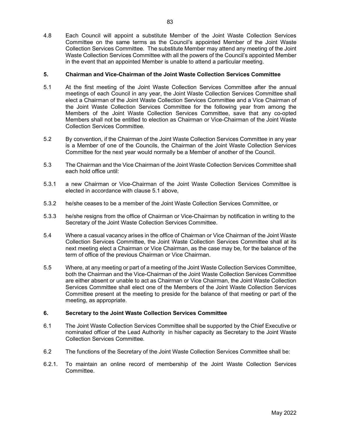4.8 Each Council will appoint a substitute Member of the Joint Waste Collection Services Committee on the same terms as the Council's appointed Member of the Joint Waste Collection Services Committee. The substitute Member may attend any meeting of the Joint Waste Collection Services Committee with all the powers of the Council's appointed Member in the event that an appointed Member is unable to attend a particular meeting.

#### 5. Chairman and Vice-Chairman of the Joint Waste Collection Services Committee

- 5.1 At the first meeting of the Joint Waste Collection Services Committee after the annual meetings of each Council in any year, the Joint Waste Collection Services Committee shall elect a Chairman of the Joint Waste Collection Services Committee and a Vice Chairman of the Joint Waste Collection Services Committee for the following year from among the Members of the Joint Waste Collection Services Committee, save that any co-opted Members shall not be entitled to election as Chairman or Vice-Chairman of the Joint Waste Collection Services Committee.
- 5.2 By convention, if the Chairman of the Joint Waste Collection Services Committee in any year is a Member of one of the Councils, the Chairman of the Joint Waste Collection Services Committee for the next year would normally be a Member of another of the Council.
- 5.3 The Chairman and the Vice Chairman of the Joint Waste Collection Services Committee shall each hold office until:
- 5.3.1 a new Chairman or Vice-Chairman of the Joint Waste Collection Services Committee is elected in accordance with clause 5.1 above,
- 5.3.2 he/she ceases to be a member of the Joint Waste Collection Services Committee, or
- 5.3.3 he/she resigns from the office of Chairman or Vice-Chairman by notification in writing to the Secretary of the Joint Waste Collection Services Committee.
- 5.4 Where a casual vacancy arises in the office of Chairman or Vice Chairman of the Joint Waste Collection Services Committee, the Joint Waste Collection Services Committee shall at its next meeting elect a Chairman or Vice Chairman, as the case may be, for the balance of the term of office of the previous Chairman or Vice Chairman.
- 5.5 Where, at any meeting or part of a meeting of the Joint Waste Collection Services Committee, both the Chairman and the Vice-Chairman of the Joint Waste Collection Services Committee are either absent or unable to act as Chairman or Vice Chairman, the Joint Waste Collection Services Committee shall elect one of the Members of the Joint Waste Collection Services Committee present at the meeting to preside for the balance of that meeting or part of the meeting, as appropriate.

#### 6. Secretary to the Joint Waste Collection Services Committee

- 6.1 The Joint Waste Collection Services Committee shall be supported by the Chief Executive or nominated officer of the Lead Authority in his/her capacity as Secretary to the Joint Waste Collection Services Committee.
- 6.2 The functions of the Secretary of the Joint Waste Collection Services Committee shall be:
- 6.2.1. To maintain an online record of membership of the Joint Waste Collection Services Committee.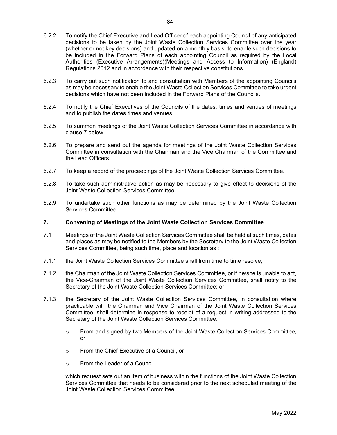- 6.2.2. To notify the Chief Executive and Lead Officer of each appointing Council of any anticipated decisions to be taken by the Joint Waste Collection Services Committee over the year (whether or not key decisions) and updated on a monthly basis, to enable such decisions to be included in the Forward Plans of each appointing Council as required by the Local Authorities (Executive Arrangements)(Meetings and Access to Information) (England) Regulations 2012 and in accordance with their respective constitutions.
- 6.2.3. To carry out such notification to and consultation with Members of the appointing Councils as may be necessary to enable the Joint Waste Collection Services Committee to take urgent decisions which have not been included in the Forward Plans of the Councils.
- 6.2.4. To notify the Chief Executives of the Councils of the dates, times and venues of meetings and to publish the dates times and venues.
- 6.2.5. To summon meetings of the Joint Waste Collection Services Committee in accordance with clause 7 below.
- 6.2.6. To prepare and send out the agenda for meetings of the Joint Waste Collection Services Committee in consultation with the Chairman and the Vice Chairman of the Committee and the Lead Officers.
- 6.2.7. To keep a record of the proceedings of the Joint Waste Collection Services Committee.
- 6.2.8. To take such administrative action as may be necessary to give effect to decisions of the Joint Waste Collection Services Committee.
- 6.2.9. To undertake such other functions as may be determined by the Joint Waste Collection Services Committee

#### 7. Convening of Meetings of the Joint Waste Collection Services Committee

- 7.1 Meetings of the Joint Waste Collection Services Committee shall be held at such times, dates and places as may be notified to the Members by the Secretary to the Joint Waste Collection Services Committee, being such time, place and location as :
- 7.1.1 the Joint Waste Collection Services Committee shall from time to time resolve;
- 7.1.2 the Chairman of the Joint Waste Collection Services Committee, or if he/she is unable to act, the Vice-Chairman of the Joint Waste Collection Services Committee, shall notify to the Secretary of the Joint Waste Collection Services Committee; or
- 7.1.3 the Secretary of the Joint Waste Collection Services Committee, in consultation where practicable with the Chairman and Vice Chairman of the Joint Waste Collection Services Committee, shall determine in response to receipt of a request in writing addressed to the Secretary of the Joint Waste Collection Services Committee:
	- $\circ$  From and signed by two Members of the Joint Waste Collection Services Committee, or
	- o From the Chief Executive of a Council, or
	- o From the Leader of a Council,

which request sets out an item of business within the functions of the Joint Waste Collection Services Committee that needs to be considered prior to the next scheduled meeting of the Joint Waste Collection Services Committee.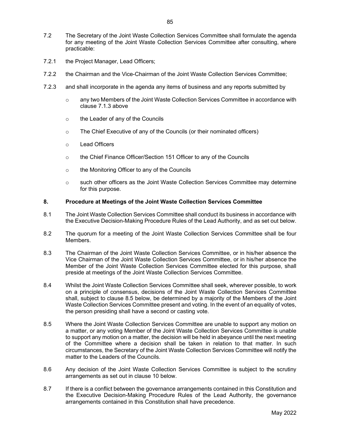- 7.2 The Secretary of the Joint Waste Collection Services Committee shall formulate the agenda for any meeting of the Joint Waste Collection Services Committee after consulting, where practicable:
- 7.2.1 the Project Manager, Lead Officers;
- 7.2.2 the Chairman and the Vice-Chairman of the Joint Waste Collection Services Committee;
- 7.2.3 and shall incorporate in the agenda any items of business and any reports submitted by
	- o any two Members of the Joint Waste Collection Services Committee in accordance with clause 7.1.3 above
	- o the Leader of any of the Councils
	- $\circ$  The Chief Executive of any of the Councils (or their nominated officers)
	- o Lead Officers
	- o the Chief Finance Officer/Section 151 Officer to any of the Councils
	- o the Monitoring Officer to any of the Councils
	- $\circ$  such other officers as the Joint Waste Collection Services Committee may determine for this purpose.

#### 8. Procedure at Meetings of the Joint Waste Collection Services Committee

- 8.1 The Joint Waste Collection Services Committee shall conduct its business in accordance with the Executive Decision-Making Procedure Rules of the Lead Authority, and as set out below.
- 8.2 The quorum for a meeting of the Joint Waste Collection Services Committee shall be four Members.
- 8.3 The Chairman of the Joint Waste Collection Services Committee, or in his/her absence the Vice Chairman of the Joint Waste Collection Services Committee, or in his/her absence the Member of the Joint Waste Collection Services Committee elected for this purpose, shall preside at meetings of the Joint Waste Collection Services Committee.
- 8.4 Whilst the Joint Waste Collection Services Committee shall seek, wherever possible, to work on a principle of consensus, decisions of the Joint Waste Collection Services Committee shall, subject to clause 8.5 below, be determined by a majority of the Members of the Joint Waste Collection Services Committee present and voting. In the event of an equality of votes, the person presiding shall have a second or casting vote.
- 8.5 Where the Joint Waste Collection Services Committee are unable to support any motion on a matter, or any voting Member of the Joint Waste Collection Services Committee is unable to support any motion on a matter, the decision will be held in abeyance until the next meeting of the Committee where a decision shall be taken in relation to that matter. In such circumstances, the Secretary of the Joint Waste Collection Services Committee will notify the matter to the Leaders of the Councils.
- 8.6 Any decision of the Joint Waste Collection Services Committee is subject to the scrutiny arrangements as set out in clause 10 below.
- 8.7 If there is a conflict between the governance arrangements contained in this Constitution and the Executive Decision-Making Procedure Rules of the Lead Authority, the governance arrangements contained in this Constitution shall have precedence.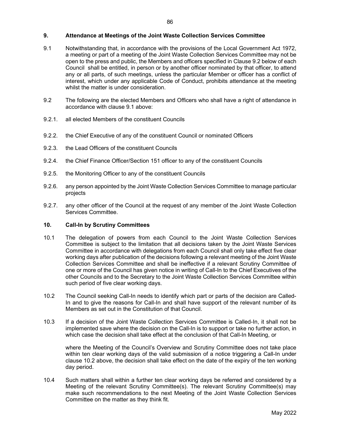#### 9. Attendance at Meetings of the Joint Waste Collection Services Committee

- 9.1 Notwithstanding that, in accordance with the provisions of the Local Government Act 1972, a meeting or part of a meeting of the Joint Waste Collection Services Committee may not be open to the press and public, the Members and officers specified in Clause 9.2 below of each Council shall be entitled, in person or by another officer nominated by that officer, to attend any or all parts, of such meetings, unless the particular Member or officer has a conflict of interest, which under any applicable Code of Conduct, prohibits attendance at the meeting whilst the matter is under consideration.
- 9.2 The following are the elected Members and Officers who shall have a right of attendance in accordance with clause 9.1 above:
- 9.2.1. all elected Members of the constituent Councils
- 9.2.2. the Chief Executive of any of the constituent Council or nominated Officers
- 9.2.3. the Lead Officers of the constituent Councils
- 9.2.4. the Chief Finance Officer/Section 151 officer to any of the constituent Councils
- 9.2.5. the Monitoring Officer to any of the constituent Councils
- 9.2.6. any person appointed by the Joint Waste Collection Services Committee to manage particular projects
- 9.2.7. any other officer of the Council at the request of any member of the Joint Waste Collection Services Committee.

#### 10. Call-In by Scrutiny Committees

- 10.1 The delegation of powers from each Council to the Joint Waste Collection Services Committee is subject to the limitation that all decisions taken by the Joint Waste Services Committee in accordance with delegations from each Council shall only take effect five clear working days after publication of the decisions following a relevant meeting of the Joint Waste Collection Services Committee and shall be ineffective if a relevant Scrutiny Committee of one or more of the Council has given notice in writing of Call-In to the Chief Executives of the other Councils and to the Secretary to the Joint Waste Collection Services Committee within such period of five clear working days.
- 10.2 The Council seeking Call-In needs to identify which part or parts of the decision are Called-In and to give the reasons for Call-In and shall have support of the relevant number of its Members as set out in the Constitution of that Council.
- 10.3 If a decision of the Joint Waste Collection Services Committee is Called-In, it shall not be implemented save where the decision on the Call-In is to support or take no further action, in which case the decision shall take effect at the conclusion of that Call-In Meeting, or

 where the Meeting of the Council's Overview and Scrutiny Committee does not take place within ten clear working days of the valid submission of a notice triggering a Call-In under clause 10.2 above, the decision shall take effect on the date of the expiry of the ten working day period.

10.4 Such matters shall within a further ten clear working days be referred and considered by a Meeting of the relevant Scrutiny Committee(s). The relevant Scrutiny Committee(s) may make such recommendations to the next Meeting of the Joint Waste Collection Services Committee on the matter as they think fit.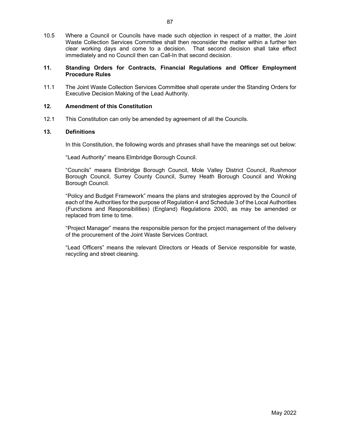10.5 Where a Council or Councils have made such objection in respect of a matter, the Joint Waste Collection Services Committee shall then reconsider the matter within a further ten clear working days and come to a decision. That second decision shall take effect immediately and no Council then can Call-In that second decision.

#### 11. Standing Orders for Contracts, Financial Regulations and Officer Employment Procedure Rules

11.1 The Joint Waste Collection Services Committee shall operate under the Standing Orders for Executive Decision Making of the Lead Authority.

#### 12. Amendment of this Constitution

12.1 This Constitution can only be amended by agreement of all the Councils.

#### 13. Definitions

In this Constitution, the following words and phrases shall have the meanings set out below:

"Lead Authority" means Elmbridge Borough Council.

 "Councils" means Elmbridge Borough Council, Mole Valley District Council, Rushmoor Borough Council, Surrey County Council, Surrey Heath Borough Council and Woking Borough Council.

 "Policy and Budget Framework" means the plans and strategies approved by the Council of each of the Authorities for the purpose of Regulation 4 and Schedule 3 of the Local Authorities (Functions and Responsibilities) (England) Regulations 2000, as may be amended or replaced from time to time.

 "Project Manager" means the responsible person for the project management of the delivery of the procurement of the Joint Waste Services Contract.

 "Lead Officers" means the relevant Directors or Heads of Service responsible for waste, recycling and street cleaning.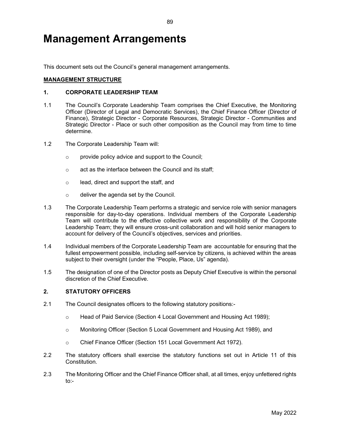## Management Arrangements

This document sets out the Council's general management arrangements.

#### MANAGEMENT STRUCTURE

#### 1. CORPORATE LEADERSHIP TEAM

- 1.1 The Council's Corporate Leadership Team comprises the Chief Executive, the Monitoring Officer (Director of Legal and Democratic Services), the Chief Finance Officer (Director of Finance), Strategic Director - Corporate Resources, Strategic Director - Communities and Strategic Director - Place or such other composition as the Council may from time to time determine.
- 1.2 The Corporate Leadership Team will:
	- o provide policy advice and support to the Council;
	- o act as the interface between the Council and its staff;
	- o lead, direct and support the staff, and
	- o deliver the agenda set by the Council.
- 1.3 The Corporate Leadership Team performs a strategic and service role with senior managers responsible for day-to-day operations. Individual members of the Corporate Leadership Team will contribute to the effective collective work and responsibility of the Corporate Leadership Team; they will ensure cross-unit collaboration and will hold senior managers to account for delivery of the Council's objectives, services and priorities.
- 1.4 Individual members of the Corporate Leadership Team are accountable for ensuring that the fullest empowerment possible, including self-service by citizens, is achieved within the areas subject to their oversight (under the "People, Place, Us" agenda).
- 1.5 The designation of one of the Director posts as Deputy Chief Executive is within the personal discretion of the Chief Executive.

### 2. STATUTORY OFFICERS

- 2.1 The Council designates officers to the following statutory positions:
	- o Head of Paid Service (Section 4 Local Government and Housing Act 1989);
	- o Monitoring Officer (Section 5 Local Government and Housing Act 1989), and
	- o Chief Finance Officer (Section 151 Local Government Act 1972).
- 2.2 The statutory officers shall exercise the statutory functions set out in Article 11 of this Constitution.
- 2.3 The Monitoring Officer and the Chief Finance Officer shall, at all times, enjoy unfettered rights to:-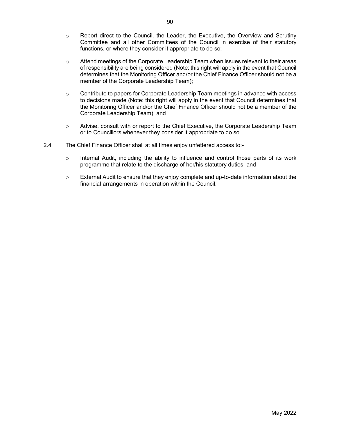- $\circ$  Report direct to the Council, the Leader, the Executive, the Overview and Scrutiny Committee and all other Committees of the Council in exercise of their statutory functions, or where they consider it appropriate to do so;
- $\circ$  Attend meetings of the Corporate Leadership Team when issues relevant to their areas of responsibility are being considered (Note: this right will apply in the event that Council determines that the Monitoring Officer and/or the Chief Finance Officer should not be a member of the Corporate Leadership Team);
- o Contribute to papers for Corporate Leadership Team meetings in advance with access to decisions made (Note: this right will apply in the event that Council determines that the Monitoring Officer and/or the Chief Finance Officer should not be a member of the Corporate Leadership Team), and
- o Advise, consult with or report to the Chief Executive, the Corporate Leadership Team or to Councillors whenever they consider it appropriate to do so.
- 2.4 The Chief Finance Officer shall at all times enjoy unfettered access to:-
	- $\circ$  Internal Audit, including the ability to influence and control those parts of its work programme that relate to the discharge of her/his statutory duties, and
	- o External Audit to ensure that they enjoy complete and up-to-date information about the financial arrangements in operation within the Council.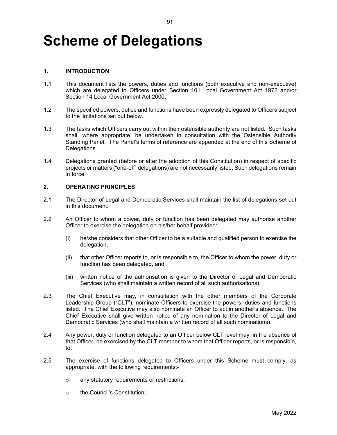# Scheme of Delegations

#### 1. INTRODUCTION

1.1 This document lists the powers, duties and functions (both executive and non-executive) which are delegated to Officers under Section 101 Local Government Act 1972 and/or Section 14 Local Government Act 2000.

91

- 1.2 The specified powers, duties and functions have been expressly delegated to Officers subject to the limitations set out below.
- 1.3 The tasks which Officers carry out within their ostensible authority are not listed. Such tasks shall, where appropriate, be undertaken in consultation with the Ostensible Authority Standing Panel. The Panel's terms of reference are appended at the end of this Scheme of Delegations.
- 1.4 Delegations granted (before or after the adoption of this Constitution) in respect of specific projects or matters ("one-off" delegations) are not necessarily listed. Such delegations remain in force.

#### 2. OPERATING PRINCIPLES

- 2.1 The Director of Legal and Democratic Services shall maintain the list of delegations set out in this document.
- 2.2 An Officer to whom a power, duty or function has been delegated may authorise another Officer to exercise the delegation on his/her behalf provided:
	- (i) he/she considers that other Officer to be a suitable and qualified person to exercise the delegation;
	- (ii) that other Officer reports to, or is responsible to, the Officer to whom the power, duty or function has been delegated, and
	- (iii) written notice of the authorisation is given to the Director of Legal and Democratic Services (who shall maintain a written record of all such authorisations).
- 2.3 The Chief Executive may, in consultation with the other members of the Corporate Leadership Group ("CLT"), nominate Officers to exercise the powers, duties and functions listed. The Chief Executive may also nominate an Officer to act in another's absence. The Chief Executive shall give written notice of any nomination to the Director of Legal and Democratic Services (who shall maintain a written record of all such nominations).
- 2.4 Any power, duty or function delegated to an Officer below CLT level may, in the absence of that Officer, be exercised by the CLT member to whom that Officer reports, or is responsible, to.
- 2.5 The exercise of functions delegated to Officers under this Scheme must comply, as appropriate, with the following requirements:
	- o any statutory requirements or restrictions;
	- o the Council's Constitution;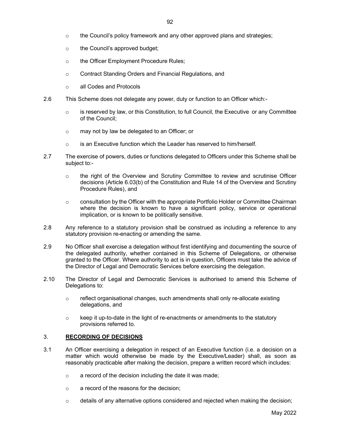- $\circ$  the Council's policy framework and any other approved plans and strategies;
- o the Council's approved budget;
- o the Officer Employment Procedure Rules;
- o Contract Standing Orders and Financial Regulations, and
- o all Codes and Protocols
- 2.6 This Scheme does not delegate any power, duty or function to an Officer which:-
	- $\circ$  is reserved by law, or this Constitution, to full Council, the Executive or any Committee of the Council;
	- o may not by law be delegated to an Officer; or
	- $\circ$  is an Executive function which the Leader has reserved to him/herself.
- 2.7 The exercise of powers, duties or functions delegated to Officers under this Scheme shall be subject to:-
	- $\circ$  the right of the Overview and Scrutiny Committee to review and scrutinise Officer decisions (Article 6.03(b) of the Constitution and Rule 14 of the Overview and Scrutiny Procedure Rules), and
	- o consultation by the Officer with the appropriate Portfolio Holder or Committee Chairman where the decision is known to have a significant policy, service or operational implication, or is known to be politically sensitive.
- 2.8 Any reference to a statutory provision shall be construed as including a reference to any statutory provision re-enacting or amending the same.
- 2.9 No Officer shall exercise a delegation without first identifying and documenting the source of the delegated authority, whether contained in this Scheme of Delegations, or otherwise granted to the Officer. Where authority to act is in question, Officers must take the advice of the Director of Legal and Democratic Services before exercising the delegation.
- 2.10 The Director of Legal and Democratic Services is authorised to amend this Scheme of Delegations to:
	- $\circ$  reflect organisational changes, such amendments shall only re-allocate existing delegations, and
	- $\circ$  keep it up-to-date in the light of re-enactments or amendments to the statutory provisions referred to.

#### 3. RECORDING OF DECISIONS

- 3.1 An Officer exercising a delegation in respect of an Executive function (i.e. a decision on a matter which would otherwise be made by the Executive/Leader) shall, as soon as reasonably practicable after making the decision, prepare a written record which includes:
	- o a record of the decision including the date it was made;
	- o a record of the reasons for the decision;
	- $\circ$  details of any alternative options considered and rejected when making the decision;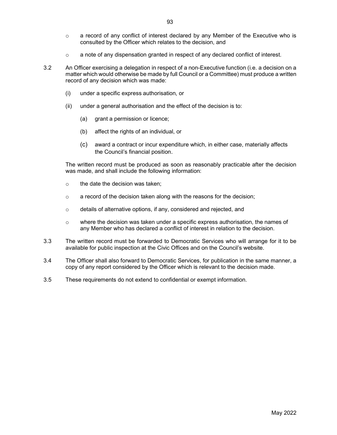- o a record of any conflict of interest declared by any Member of the Executive who is consulted by the Officer which relates to the decision, and
- $\circ$  a note of any dispensation granted in respect of any declared conflict of interest.
- 3.2 An Officer exercising a delegation in respect of a non-Executive function (i.e. a decision on a matter which would otherwise be made by full Council or a Committee) must produce a written record of any decision which was made:
	- (i) under a specific express authorisation, or
	- (ii) under a general authorisation and the effect of the decision is to:
		- (a) grant a permission or licence;
		- (b) affect the rights of an individual, or
		- (c) award a contract or incur expenditure which, in either case, materially affects the Council's financial position.

The written record must be produced as soon as reasonably practicable after the decision was made, and shall include the following information:

- $\circ$  the date the decision was taken;
- o a record of the decision taken along with the reasons for the decision;
- o details of alternative options, if any, considered and rejected, and
- $\circ$  where the decision was taken under a specific express authorisation, the names of any Member who has declared a conflict of interest in relation to the decision.
- 3.3 The written record must be forwarded to Democratic Services who will arrange for it to be available for public inspection at the Civic Offices and on the Council's website.
- 3.4 The Officer shall also forward to Democratic Services, for publication in the same manner, a copy of any report considered by the Officer which is relevant to the decision made.
- 3.5 These requirements do not extend to confidential or exempt information.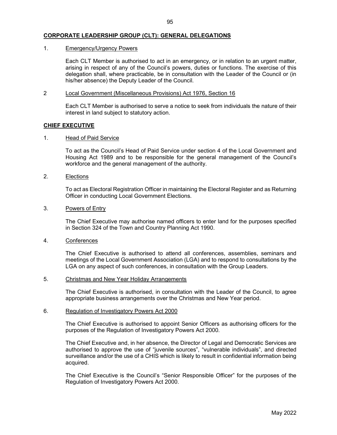#### CORPORATE LEADERSHIP GROUP (CLT): GENERAL DELEGATIONS

#### 1. Emergency/Urgency Powers

 Each CLT Member is authorised to act in an emergency, or in relation to an urgent matter, arising in respect of any of the Council's powers, duties or functions. The exercise of this delegation shall, where practicable, be in consultation with the Leader of the Council or (in his/her absence) the Deputy Leader of the Council.

#### 2 Local Government (Miscellaneous Provisions) Act 1976, Section 16

 Each CLT Member is authorised to serve a notice to seek from individuals the nature of their interest in land subject to statutory action.

#### CHIEF EXECUTIVE

#### 1. Head of Paid Service

 To act as the Council's Head of Paid Service under section 4 of the Local Government and Housing Act 1989 and to be responsible for the general management of the Council's workforce and the general management of the authority.

#### 2. Elections

 To act as Electoral Registration Officer in maintaining the Electoral Register and as Returning Officer in conducting Local Government Elections.

#### 3. Powers of Entry

 The Chief Executive may authorise named officers to enter land for the purposes specified in Section 324 of the Town and Country Planning Act 1990.

#### 4. Conferences

 The Chief Executive is authorised to attend all conferences, assemblies, seminars and meetings of the Local Government Association (LGA) and to respond to consultations by the LGA on any aspect of such conferences, in consultation with the Group Leaders.

#### 5. Christmas and New Year Holiday Arrangements

 The Chief Executive is authorised, in consultation with the Leader of the Council, to agree appropriate business arrangements over the Christmas and New Year period.

#### 6. Regulation of Investigatory Powers Act 2000

 The Chief Executive is authorised to appoint Senior Officers as authorising officers for the purposes of the Regulation of Investigatory Powers Act 2000.

 The Chief Executive and, in her absence, the Director of Legal and Democratic Services are authorised to approve the use of "juvenile sources", "vulnerable individuals", and directed surveillance and/or the use of a CHIS which is likely to result in confidential information being acquired.

 The Chief Executive is the Council's "Senior Responsible Officer" for the purposes of the Regulation of Investigatory Powers Act 2000.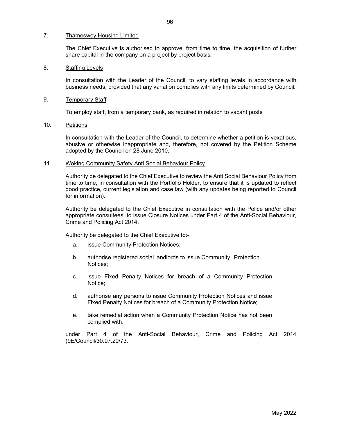#### 7. Thameswey Housing Limited

 The Chief Executive is authorised to approve, from time to time, the acquisition of further share capital in the company on a project by project basis.

#### 8. Staffing Levels

 In consultation with the Leader of the Council, to vary staffing levels in accordance with business needs, provided that any variation complies with any limits determined by Council.

#### 9. Temporary Staff

To employ staff, from a temporary bank, as required in relation to vacant posts

#### 10. Petitions

 In consultation with the Leader of the Council, to determine whether a petition is vexatious, abusive or otherwise inappropriate and, therefore, not covered by the Petition Scheme adopted by the Council on 28 June 2010.

#### 11. Woking Community Safety Anti Social Behaviour Policy

Authority be delegated to the Chief Executive to review the Anti Social Behaviour Policy from time to time, in consultation with the Portfolio Holder, to ensure that it is updated to reflect good practice, current legislation and case law (with any updates being reported to Council for information).

Authority be delegated to the Chief Executive in consultation with the Police and/or other appropriate consultees, to issue Closure Notices under Part 4 of the Anti-Social Behaviour, Crime and Policing Act 2014.

Authority be delegated to the Chief Executive to:-

- a. issue Community Protection Notices;
- b. authorise registered social landlords to issue Community Protection Notices;
- c. issue Fixed Penalty Notices for breach of a Community Protection Notice;
- d. authorise any persons to issue Community Protection Notices and issue Fixed Penalty Notices for breach of a Community Protection Notice;
- e. take remedial action when a Community Protection Notice has not been complied with.

under Part 4 of the Anti-Social Behaviour, Crime and Policing Act 2014 (9E/Council/30.07.20/73.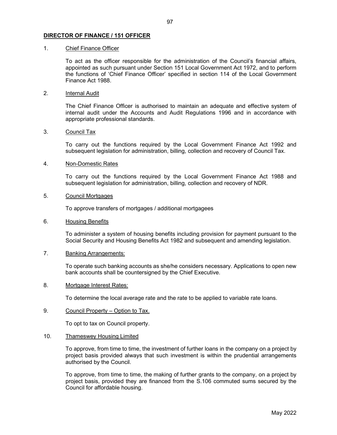#### DIRECTOR OF FINANCE / 151 OFFICER

#### 1. Chief Finance Officer

 To act as the officer responsible for the administration of the Council's financial affairs, appointed as such pursuant under Section 151 Local Government Act 1972, and to perform the functions of 'Chief Finance Officer' specified in section 114 of the Local Government Finance Act 1988.

#### 2. Internal Audit

 The Chief Finance Officer is authorised to maintain an adequate and effective system of internal audit under the Accounts and Audit Regulations 1996 and in accordance with appropriate professional standards.

#### 3. Council Tax

 To carry out the functions required by the Local Government Finance Act 1992 and subsequent legislation for administration, billing, collection and recovery of Council Tax.

#### 4. Non-Domestic Rates

 To carry out the functions required by the Local Government Finance Act 1988 and subsequent legislation for administration, billing, collection and recovery of NDR.

#### 5. Council Mortgages

To approve transfers of mortgages / additional mortgagees

#### 6. Housing Benefits

 To administer a system of housing benefits including provision for payment pursuant to the Social Security and Housing Benefits Act 1982 and subsequent and amending legislation.

#### 7. Banking Arrangements:

 To operate such banking accounts as she/he considers necessary. Applications to open new bank accounts shall be countersigned by the Chief Executive.

#### 8. Mortgage Interest Rates:

To determine the local average rate and the rate to be applied to variable rate loans.

#### 9. Council Property – Option to Tax.

To opt to tax on Council property.

#### 10. Thameswey Housing Limited

 To approve, from time to time, the investment of further loans in the company on a project by project basis provided always that such investment is within the prudential arrangements authorised by the Council.

 To approve, from time to time, the making of further grants to the company, on a project by project basis, provided they are financed from the S.106 commuted sums secured by the Council for affordable housing.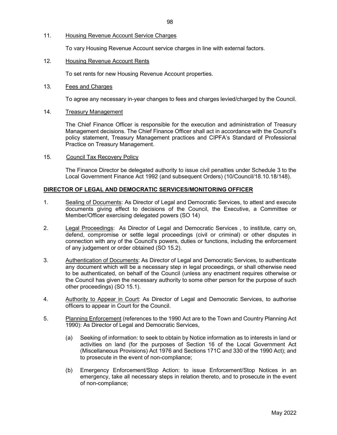#### 11. Housing Revenue Account Service Charges

To vary Housing Revenue Account service charges in line with external factors.

#### 12. Housing Revenue Account Rents

To set rents for new Housing Revenue Account properties.

#### 13. Fees and Charges

To agree any necessary in-year changes to fees and charges levied/charged by the Council.

#### 14. Treasury Management

 The Chief Finance Officer is responsible for the execution and administration of Treasury Management decisions. The Chief Finance Officer shall act in accordance with the Council's policy statement, Treasury Management practices and CIPFA's Standard of Professional Practice on Treasury Management.

#### 15. Council Tax Recovery Policy

The Finance Director be delegated authority to issue civil penalties under Schedule 3 to the Local Government Finance Act 1992 (and subsequent Orders) (10/Council/18.10.18/148).

#### DIRECTOR OF LEGAL AND DEMOCRATIC SERVICES/MONITORING OFFICER

- 1. Sealing of Documents: As Director of Legal and Democratic Services, to attest and execute documents giving effect to decisions of the Council, the Executive, a Committee or Member/Officer exercising delegated powers (SO 14)
- 2. Legal Proceedings: As Director of Legal and Democratic Services , to institute, carry on, defend, compromise or settle legal proceedings (civil or criminal) or other disputes in connection with any of the Council's powers, duties or functions, including the enforcement of any judgement or order obtained (SO 15.2).
- 3. Authentication of Documents: As Director of Legal and Democratic Services, to authenticate any document which will be a necessary step in legal proceedings, or shall otherwise need to be authenticated, on behalf of the Council (unless any enactment requires otherwise or the Council has given the necessary authority to some other person for the purpose of such other proceedings) (SO 15.1).
- 4. Authority to Appear in Court: As Director of Legal and Democratic Services, to authorise officers to appear in Court for the Council.
- 5. Planning Enforcement (references to the 1990 Act are to the Town and Country Planning Act 1990): As Director of Legal and Democratic Services,
	- (a) Seeking of information: to seek to obtain by Notice information as to interests in land or activities on land (for the purposes of Section 16 of the Local Government Act (Miscellaneous Provisions) Act 1976 and Sections 171C and 330 of the 1990 Act); and to prosecute in the event of non-compliance;
	- (b) Emergency Enforcement/Stop Action: to issue Enforcement/Stop Notices in an emergency, take all necessary steps in relation thereto, and to prosecute in the event of non-compliance;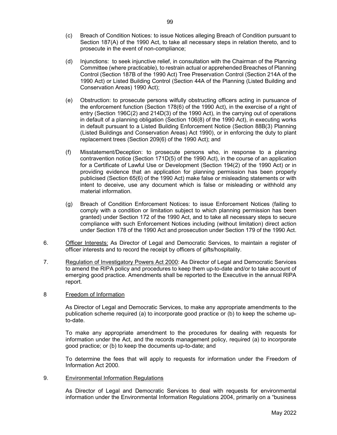- (c) Breach of Condition Notices: to issue Notices alleging Breach of Condition pursuant to Section 187(A) of the 1990 Act, to take all necessary steps in relation thereto, and to prosecute in the event of non-compliance;
- (d) Injunctions: to seek injunctive relief, in consultation with the Chairman of the Planning Committee (where practicable), to restrain actual or apprehended Breaches of Planning Control (Section 187B of the 1990 Act) Tree Preservation Control (Section 214A of the 1990 Act) or Listed Building Control (Section 44A of the Planning (Listed Building and Conservation Areas) 1990 Act);
- (e) Obstruction: to prosecute persons wilfully obstructing officers acting in pursuance of the enforcement function (Section 178(6) of the 1990 Act), in the exercise of a right of entry (Section 196C(2) and 214D(3) of the 1990 Act), in the carrying out of operations in default of a planning obligation (Section 106(8) of the 1990 Act), in executing works in default pursuant to a Listed Building Enforcement Notice (Section 88B(3) Planning (Listed Buildings and Conservation Areas) Act 1990), or in enforcing the duty to plant replacement trees (Section 209(6) of the 1990 Act); and
- (f) Misstatement/Deception: to prosecute persons who, in response to a planning contravention notice (Section 171D(5) of the 1990 Act), in the course of an application for a Certificate of Lawful Use or Development (Section 194(2) of the 1990 Act) or in providing evidence that an application for planning permission has been properly publicised (Section 65(6) of the 1990 Act) make false or misleading statements or with intent to deceive, use any document which is false or misleading or withhold any material information.
- (g) Breach of Condition Enforcement Notices: to issue Enforcement Notices (failing to comply with a condition or limitation subject to which planning permission has been granted) under Section 172 of the 1990 Act, and to take all necessary steps to secure compliance with such Enforcement Notices including (without limitation) direct action under Section 178 of the 1990 Act and prosecution under Section 179 of the 1990 Act.
- 6. Officer Interests: As Director of Legal and Democratic Services, to maintain a register of officer interests and to record the receipt by officers of gifts/hospitality.
- 7. Regulation of Investigatory Powers Act 2000: As Director of Legal and Democratic Services to amend the RIPA policy and procedures to keep them up-to-date and/or to take account of emerging good practice. Amendments shall be reported to the Executive in the annual RIPA report.

#### 8 Freedom of Information

 As Director of Legal and Democratic Services, to make any appropriate amendments to the publication scheme required (a) to incorporate good practice or (b) to keep the scheme upto-date.

 To make any appropriate amendment to the procedures for dealing with requests for information under the Act, and the records management policy, required (a) to incorporate good practice; or (b) to keep the documents up-to-date; and

 To determine the fees that will apply to requests for information under the Freedom of Information Act 2000.

#### 9. Environmental Information Regulations

 As Director of Legal and Democratic Services to deal with requests for environmental information under the Environmental Information Regulations 2004, primarily on a "business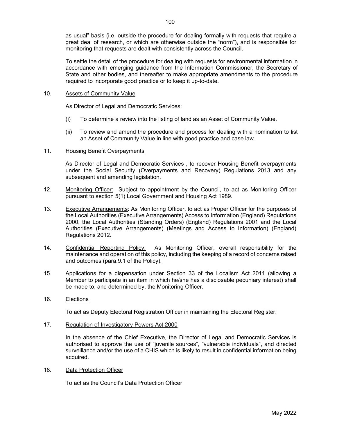as usual" basis (i.e. outside the procedure for dealing formally with requests that require a great deal of research, or which are otherwise outside the "norm"), and is responsible for monitoring that requests are dealt with consistently across the Council.

 To settle the detail of the procedure for dealing with requests for environmental information in accordance with emerging guidance from the Information Commissioner, the Secretary of State and other bodies, and thereafter to make appropriate amendments to the procedure required to incorporate good practice or to keep it up-to-date.

#### 10. Assets of Community Value

As Director of Legal and Democratic Services:

- (i) To determine a review into the listing of land as an Asset of Community Value.
- (ii) To review and amend the procedure and process for dealing with a nomination to list an Asset of Community Value in line with good practice and case law.

#### 11. Housing Benefit Overpayments

 As Director of Legal and Democratic Services , to recover Housing Benefit overpayments under the Social Security (Overpayments and Recovery) Regulations 2013 and any subsequent and amending legislation.

- 12. Monitoring Officer: Subject to appointment by the Council, to act as Monitoring Officer pursuant to section 5(1) Local Government and Housing Act 1989.
- 13. Executive Arrangements: As Monitoring Officer, to act as Proper Officer for the purposes of the Local Authorities (Executive Arrangements) Access to Information (England) Regulations 2000, the Local Authorities (Standing Orders) (England) Regulations 2001 and the Local Authorities (Executive Arrangements) (Meetings and Access to Information) (England) Regulations 2012.
- 14. Confidential Reporting Policy: As Monitoring Officer, overall responsibility for the maintenance and operation of this policy, including the keeping of a record of concerns raised and outcomes (para.9.1 of the Policy).
- 15. Applications for a dispensation under Section 33 of the Localism Act 2011 (allowing a Member to participate in an item in which he/she has a disclosable pecuniary interest) shall be made to, and determined by, the Monitoring Officer.
- 16. Elections

To act as Deputy Electoral Registration Officer in maintaining the Electoral Register.

17. Regulation of Investigatory Powers Act 2000

 In the absence of the Chief Executive, the Director of Legal and Democratic Services is authorised to approve the use of "juvenile sources", "vulnerable individuals", and directed surveillance and/or the use of a CHIS which is likely to result in confidential information being acquired.

#### 18. Data Protection Officer

To act as the Council's Data Protection Officer.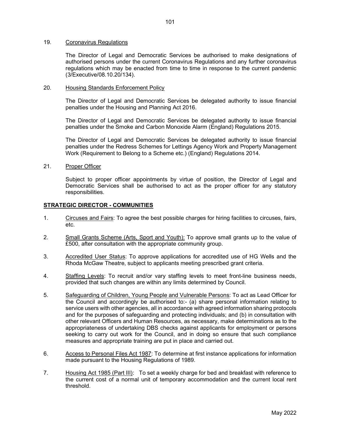#### 19. Coronavirus Regulations

The Director of Legal and Democratic Services be authorised to make designations of authorised persons under the current Coronavirus Regulations and any further coronavirus regulations which may be enacted from time to time in response to the current pandemic (3/Executive/08.10.20/134).

#### 20. Housing Standards Enforcement Policy

The Director of Legal and Democratic Services be delegated authority to issue financial penalties under the Housing and Planning Act 2016.

The Director of Legal and Democratic Services be delegated authority to issue financial penalties under the Smoke and Carbon Monoxide Alarm (England) Regulations 2015.

The Director of Legal and Democratic Services be delegated authority to issue financial penalties under the Redress Schemes for Lettings Agency Work and Property Management Work (Requirement to Belong to a Scheme etc.) (England) Regulations 2014.

21. Proper Officer

Subject to proper officer appointments by virtue of position, the Director of Legal and Democratic Services shall be authorised to act as the proper officer for any statutory responsibilities.

#### STRATEGIC DIRECTOR - COMMUNITIES

- 1. Circuses and Fairs: To agree the best possible charges for hiring facilities to circuses, fairs, etc.
- 2. Small Grants Scheme (Arts, Sport and Youth): To approve small grants up to the value of £500, after consultation with the appropriate community group.
- 3. Accredited User Status: To approve applications for accredited use of HG Wells and the Rhoda McGaw Theatre, subject to applicants meeting prescribed grant criteria.
- 4. Staffing Levels: To recruit and/or vary staffing levels to meet front-line business needs, provided that such changes are within any limits determined by Council.
- 5. Safeguarding of Children, Young People and Vulnerable Persons: To act as Lead Officer for the Council and accordingly be authorised to:- (a) share personal information relating to service users with other agencies, all in accordance with agreed information sharing protocols and for the purposes of safeguarding and protecting individuals; and (b) in consultation with other relevant Officers and Human Resources, as necessary, make determinations as to the appropriateness of undertaking DBS checks against applicants for employment or persons seeking to carry out work for the Council, and in doing so ensure that such compliance measures and appropriate training are put in place and carried out.
- 6. Access to Personal Files Act 1987: To determine at first instance applications for information made pursuant to the Housing Regulations of 1989.
- 7. Housing Act 1985 (Part III): To set a weekly charge for bed and breakfast with reference to the current cost of a normal unit of temporary accommodation and the current local rent threshold.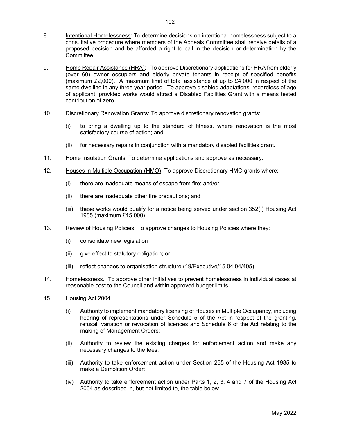- 8. Intentional Homelessness: To determine decisions on intentional homelessness subject to a consultative procedure where members of the Appeals Committee shall receive details of a proposed decision and be afforded a right to call in the decision or determination by the Committee.
- 9. Home Repair Assistance (HRA): To approve Discretionary applications for HRA from elderly (over 60) owner occupiers and elderly private tenants in receipt of specified benefits (maximum £2,000). A maximum limit of total assistance of up to £4,000 in respect of the same dwelling in any three year period. To approve disabled adaptations, regardless of age of applicant, provided works would attract a Disabled Facilities Grant with a means tested contribution of zero.
- 10. Discretionary Renovation Grants: To approve discretionary renovation grants:
	- (i) to bring a dwelling up to the standard of fitness, where renovation is the most satisfactory course of action; and
	- (ii) for necessary repairs in conjunction with a mandatory disabled facilities grant.
- 11. Home Insulation Grants: To determine applications and approve as necessary.
- 12. Houses in Multiple Occupation (HMO): To approve Discretionary HMO grants where:
	- (i) there are inadequate means of escape from fire; and/or
	- (ii) there are inadequate other fire precautions; and
	- (iii) these works would qualify for a notice being served under section 352(I) Housing Act 1985 (maximum £15,000).
- 13. Review of Housing Policies: To approve changes to Housing Policies where they:
	- (i) consolidate new legislation
	- (ii) give effect to statutory obligation; or
	- (iii) reflect changes to organisation structure (19/Executive/15.04.04/405).
- 14. Homelessness. To approve other initiatives to prevent homelessness in individual cases at reasonable cost to the Council and within approved budget limits.
- 15. Housing Act 2004
	- (i) Authority to implement mandatory licensing of Houses in Multiple Occupancy, including hearing of representations under Schedule 5 of the Act in respect of the granting, refusal, variation or revocation of licences and Schedule 6 of the Act relating to the making of Management Orders;
	- (ii) Authority to review the existing charges for enforcement action and make any necessary changes to the fees.
	- (iii) Authority to take enforcement action under Section 265 of the Housing Act 1985 to make a Demolition Order;
	- (iv) Authority to take enforcement action under Parts 1, 2, 3, 4 and 7 of the Housing Act 2004 as described in, but not limited to, the table below.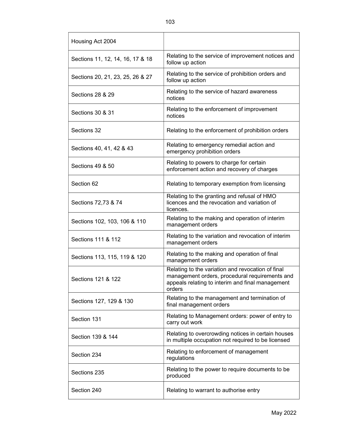| Housing Act 2004                 |                                                                                                                                                                   |  |
|----------------------------------|-------------------------------------------------------------------------------------------------------------------------------------------------------------------|--|
| Sections 11, 12, 14, 16, 17 & 18 | Relating to the service of improvement notices and<br>follow up action                                                                                            |  |
| Sections 20, 21, 23, 25, 26 & 27 | Relating to the service of prohibition orders and<br>follow up action                                                                                             |  |
| <b>Sections 28 &amp; 29</b>      | Relating to the service of hazard awareness<br>notices                                                                                                            |  |
| Sections 30 & 31                 | Relating to the enforcement of improvement<br>notices                                                                                                             |  |
| Sections 32                      | Relating to the enforcement of prohibition orders                                                                                                                 |  |
| Sections 40, 41, 42 & 43         | Relating to emergency remedial action and<br>emergency prohibition orders                                                                                         |  |
| <b>Sections 49 &amp; 50</b>      | Relating to powers to charge for certain<br>enforcement action and recovery of charges                                                                            |  |
| Section 62                       | Relating to temporary exemption from licensing                                                                                                                    |  |
| Sections 72,73 & 74              | Relating to the granting and refusal of HMO<br>licences and the revocation and variation of<br>licences.                                                          |  |
| Sections 102, 103, 106 & 110     | Relating to the making and operation of interim<br>management orders                                                                                              |  |
| Sections 111 & 112               | Relating to the variation and revocation of interim<br>management orders                                                                                          |  |
| Sections 113, 115, 119 & 120     | Relating to the making and operation of final<br>management orders                                                                                                |  |
| Sections 121 & 122               | Relating to the variation and revocation of final<br>management orders, procedural requirements and<br>appeals relating to interim and final management<br>orders |  |
| Sections 127, 129 & 130          | Relating to the management and termination of<br>final management orders                                                                                          |  |
| Section 131                      | Relating to Management orders: power of entry to<br>carry out work                                                                                                |  |
| Section 139 & 144                | Relating to overcrowding notices in certain houses<br>in multiple occupation not required to be licensed                                                          |  |
| Section 234                      | Relating to enforcement of management<br>regulations                                                                                                              |  |
| Sections 235                     | Relating to the power to require documents to be<br>produced                                                                                                      |  |
| Section 240                      | Relating to warrant to authorise entry                                                                                                                            |  |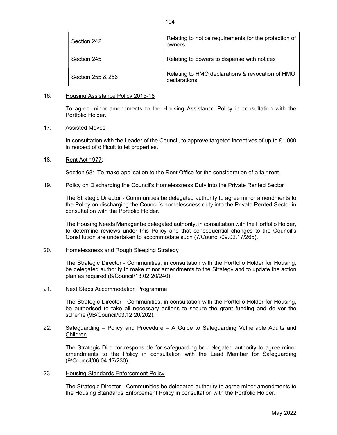| Section 242       | Relating to notice requirements for the protection of<br>owners  |
|-------------------|------------------------------------------------------------------|
| Section 245       | Relating to powers to dispense with notices                      |
| Section 255 & 256 | Relating to HMO declarations & revocation of HMO<br>declarations |

#### 16. Housing Assistance Policy 2015-18

 To agree minor amendments to the Housing Assistance Policy in consultation with the Portfolio Holder.

#### 17. Assisted Moves

 In consultation with the Leader of the Council, to approve targeted incentives of up to £1,000 in respect of difficult to let properties.

#### 18. Rent Act 1977:

Section 68: To make application to the Rent Office for the consideration of a fair rent.

#### 19. Policy on Discharging the Council's Homelessness Duty into the Private Rented Sector

The Strategic Director - Communities be delegated authority to agree minor amendments to the Policy on discharging the Council's homelessness duty into the Private Rented Sector in consultation with the Portfolio Holder.

The Housing Needs Manager be delegated authority, in consultation with the Portfolio Holder, to determine reviews under this Policy and that consequential changes to the Council's Constitution are undertaken to accommodate such (7/Council/09.02.17/265).

#### 20. Homelessness and Rough Sleeping Strategy

The Strategic Director - Communities, in consultation with the Portfolio Holder for Housing, be delegated authority to make minor amendments to the Strategy and to update the action plan as required (8/Council/13.02.20/240).

21. Next Steps Accommodation Programme

The Strategic Director - Communities, in consultation with the Portfolio Holder for Housing, be authorised to take all necessary actions to secure the grant funding and deliver the scheme (9B/Council/03.12.20/202).

#### 22. Safeguarding – Policy and Procedure – A Guide to Safeguarding Vulnerable Adults and Children

The Strategic Director responsible for safeguarding be delegated authority to agree minor amendments to the Policy in consultation with the Lead Member for Safeguarding (9/Council/06.04.17/230).

#### 23. Housing Standards Enforcement Policy

The Strategic Director - Communities be delegated authority to agree minor amendments to the Housing Standards Enforcement Policy in consultation with the Portfolio Holder.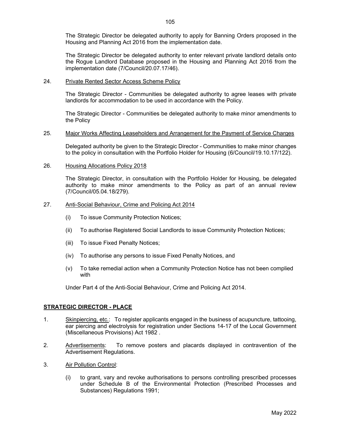The Strategic Director be delegated authority to apply for Banning Orders proposed in the Housing and Planning Act 2016 from the implementation date.

The Strategic Director be delegated authority to enter relevant private landlord details onto the Rogue Landlord Database proposed in the Housing and Planning Act 2016 from the implementation date (7/Council/20.07.17/46).

#### 24. Private Rented Sector Access Scheme Policy

The Strategic Director - Communities be delegated authority to agree leases with private landlords for accommodation to be used in accordance with the Policy.

The Strategic Director - Communities be delegated authority to make minor amendments to the Policy

#### 25. Major Works Affecting Leaseholders and Arrangement for the Payment of Service Charges

Delegated authority be given to the Strategic Director - Communities to make minor changes to the policy in consultation with the Portfolio Holder for Housing (6/Council/19.10.17/122).

#### 26. Housing Allocations Policy 2018

The Strategic Director, in consultation with the Portfolio Holder for Housing, be delegated authority to make minor amendments to the Policy as part of an annual review (7/Council/05.04.18/279).

#### 27. Anti-Social Behaviour, Crime and Policing Act 2014

- (i) To issue Community Protection Notices;
- (ii) To authorise Registered Social Landlords to issue Community Protection Notices;
- (iii) To issue Fixed Penalty Notices;
- (iv) To authorise any persons to issue Fixed Penalty Notices, and
- (v) To take remedial action when a Community Protection Notice has not been complied with

Under Part 4 of the Anti-Social Behaviour, Crime and Policing Act 2014.

#### STRATEGIC DIRECTOR - PLACE

- 1. Skinpiercing, etc.: To register applicants engaged in the business of acupuncture, tattooing, ear piercing and electrolysis for registration under Sections 14-17 of the Local Government (Miscellaneous Provisions) Act 1982 .
- 2. Advertisements: To remove posters and placards displayed in contravention of the Advertisement Regulations.
- 3. Air Pollution Control:
	- (i) to grant, vary and revoke authorisations to persons controlling prescribed processes under Schedule B of the Environmental Protection (Prescribed Processes and Substances) Regulations 1991;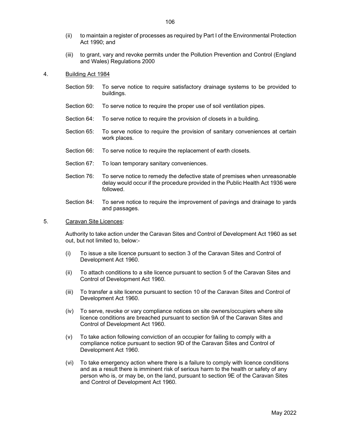- (iii) to grant, vary and revoke permits under the Pollution Prevention and Control (England and Wales) Regulations 2000
- 4. Building Act 1984
	- Section 59: To serve notice to require satisfactory drainage systems to be provided to buildings.
	- Section 60: To serve notice to require the proper use of soil ventilation pipes.
	- Section 64: To serve notice to require the provision of closets in a building.
	- Section 65: To serve notice to require the provision of sanitary conveniences at certain work places.
	- Section 66: To serve notice to require the replacement of earth closets.
	- Section 67: To loan temporary sanitary conveniences.
	- Section 76: To serve notice to remedy the defective state of premises when unreasonable delay would occur if the procedure provided in the Public Health Act 1936 were followed.
	- Section 84: To serve notice to require the improvement of pavings and drainage to yards and passages.
- 5. Caravan Site Licences:

 Authority to take action under the Caravan Sites and Control of Development Act 1960 as set out, but not limited to, below:-

- (i) To issue a site licence pursuant to section 3 of the Caravan Sites and Control of Development Act 1960.
- (ii) To attach conditions to a site licence pursuant to section 5 of the Caravan Sites and Control of Development Act 1960.
- (iii) To transfer a site licence pursuant to section 10 of the Caravan Sites and Control of Development Act 1960.
- (iv) To serve, revoke or vary compliance notices on site owners/occupiers where site licence conditions are breached pursuant to section 9A of the Caravan Sites and Control of Development Act 1960.
- (v) To take action following conviction of an occupier for failing to comply with a compliance notice pursuant to section 9D of the Caravan Sites and Control of Development Act 1960.
- (vi) To take emergency action where there is a failure to comply with licence conditions and as a result there is imminent risk of serious harm to the health or safety of any person who is, or may be, on the land, pursuant to section 9E of the Caravan Sites and Control of Development Act 1960.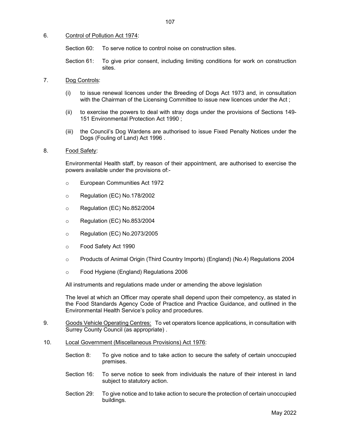#### 6. Control of Pollution Act 1974:

Section 60: To serve notice to control noise on construction sites.

Section 61: To give prior consent, including limiting conditions for work on construction sites.

#### 7. Dog Controls:

- (i) to issue renewal licences under the Breeding of Dogs Act 1973 and, in consultation with the Chairman of the Licensing Committee to issue new licences under the Act ;
- (ii) to exercise the powers to deal with stray dogs under the provisions of Sections 149- 151 Environmental Protection Act 1990 ;
- (iii) the Council's Dog Wardens are authorised to issue Fixed Penalty Notices under the Dogs (Fouling of Land) Act 1996 .

#### 8. Food Safety:

 Environmental Health staff, by reason of their appointment, are authorised to exercise the powers available under the provisions of:-

- o European Communities Act 1972
- o Regulation (EC) No.178/2002
- o Regulation (EC) No.852/2004
- o Regulation (EC) No.853/2004
- o Regulation (EC) No.2073/2005
- o Food Safety Act 1990
- o Products of Animal Origin (Third Country Imports) (England) (No.4) Regulations 2004
- o Food Hygiene (England) Regulations 2006

All instruments and regulations made under or amending the above legislation

 The level at which an Officer may operate shall depend upon their competency, as stated in the Food Standards Agency Code of Practice and Practice Guidance, and outlined in the Environmental Health Service's policy and procedures.

- 9. Goods Vehicle Operating Centres: To vet operators licence applications, in consultation with Surrey County Council (as appropriate) .
- 10. Local Government (Miscellaneous Provisions) Act 1976:
	- Section 8: To give notice and to take action to secure the safety of certain unoccupied premises.
	- Section 16: To serve notice to seek from individuals the nature of their interest in land subject to statutory action.
	- Section 29: To give notice and to take action to secure the protection of certain unoccupied buildings.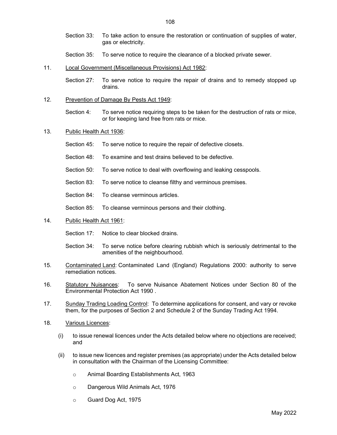Section 33: To take action to ensure the restoration or continuation of supplies of water, gas or electricity.

- Section 35: To serve notice to require the clearance of a blocked private sewer.
- 11. Local Government (Miscellaneous Provisions) Act 1982:

Section 27: To serve notice to require the repair of drains and to remedy stopped up drains.

12. Prevention of Damage By Pests Act 1949:

Section 4: To serve notice requiring steps to be taken for the destruction of rats or mice, or for keeping land free from rats or mice.

- 13. Public Health Act 1936:
	- Section 45: To serve notice to require the repair of defective closets.
	- Section 48: To examine and test drains believed to be defective.
	- Section 50: To serve notice to deal with overflowing and leaking cesspools.
	- Section 83: To serve notice to cleanse filthy and verminous premises.
	- Section 84: To cleanse verminous articles.
	- Section 85: To cleanse verminous persons and their clothing.
- 14. Public Health Act 1961:

Section 17: Notice to clear blocked drains.

- Section 34: To serve notice before clearing rubbish which is seriously detrimental to the amenities of the neighbourhood.
- 15. Contaminated Land: Contaminated Land (England) Regulations 2000: authority to serve remediation notices.
- 16. Statutory Nuisances: To serve Nuisance Abatement Notices under Section 80 of the Environmental Protection Act 1990 .
- 17. Sunday Trading Loading Control: To determine applications for consent, and vary or revoke them, for the purposes of Section 2 and Schedule 2 of the Sunday Trading Act 1994.
- 18. Various Licences:
	- (i) to issue renewal licences under the Acts detailed below where no objections are received; and
	- (ii) to issue new licences and register premises (as appropriate) under the Acts detailed below in consultation with the Chairman of the Licensing Committee:
		- o Animal Boarding Establishments Act, 1963
		- o Dangerous Wild Animals Act, 1976
		- o Guard Dog Act, 1975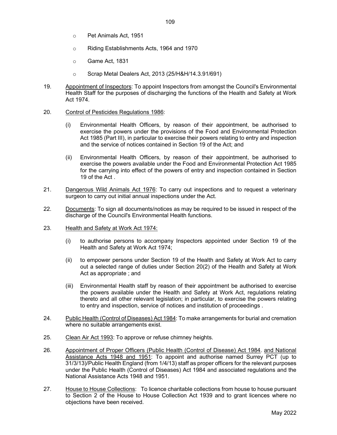- o Pet Animals Act, 1951
- o Riding Establishments Acts, 1964 and 1970
- o Game Act, 1831
- o Scrap Metal Dealers Act, 2013 (25/H&H/14.3.91/691)
- 19. Appointment of Inspectors: To appoint Inspectors from amongst the Council's Environmental Health Staff for the purposes of discharging the functions of the Health and Safety at Work Act 1974.
- 20. Control of Pesticides Regulations 1986:
	- (i) Environmental Health Officers, by reason of their appointment, be authorised to exercise the powers under the provisions of the Food and Environmental Protection Act 1985 (Part III), in particular to exercise their powers relating to entry and inspection and the service of notices contained in Section 19 of the Act; and
	- (ii) Environmental Health Officers, by reason of their appointment, be authorised to exercise the powers available under the Food and Environmental Protection Act 1985 for the carrying into effect of the powers of entry and inspection contained in Section 19 of the Act .
- 21. Dangerous Wild Animals Act 1976: To carry out inspections and to request a veterinary surgeon to carry out initial annual inspections under the Act.
- 22. Documents: To sign all documents/notices as may be required to be issued in respect of the discharge of the Council's Environmental Health functions.
- 23. Health and Safety at Work Act 1974:
	- (i) to authorise persons to accompany Inspectors appointed under Section 19 of the Health and Safety at Work Act 1974;
	- (ii) to empower persons under Section 19 of the Health and Safety at Work Act to carry out a selected range of duties under Section 20(2) of the Health and Safety at Work Act as appropriate ; and
	- (iii) Environmental Health staff by reason of their appointment be authorised to exercise the powers available under the Health and Safety at Work Act, regulations relating thereto and all other relevant legislation; in particular, to exercise the powers relating to entry and inspection, service of notices and institution of proceedings .
- 24. Public Health (Control of Diseases) Act 1984: To make arrangements for burial and cremation where no suitable arrangements exist.
- 25. Clean Air Act 1993: To approve or refuse chimney heights.
- 26. Appointment of Proper Officers (Public Health (Control of Disease) Act 1984. and National Assistance Acts 1948 and 1951: To appoint and authorise named Surrey PCT (up to 31/3/13)/Public Health England (from 1/4/13) staff as proper officers for the relevant purposes under the Public Health (Control of Diseases) Act 1984 and associated regulations and the National Assistance Acts 1948 and 1951.
- 27. House to House Collections: To licence charitable collections from house to house pursuant to Section 2 of the House to House Collection Act 1939 and to grant licences where no objections have been received.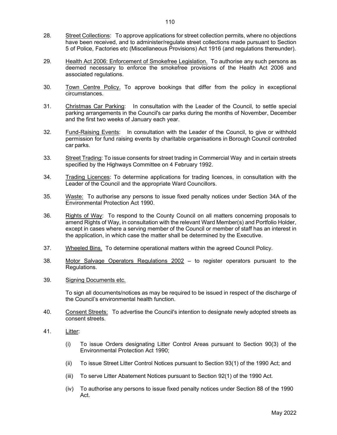- 28. Street Collections: To approve applications for street collection permits, where no objections have been received, and to administer/regulate street collections made pursuant to Section 5 of Police, Factories etc (Miscellaneous Provisions) Act 1916 (and regulations thereunder).
- 29. Health Act 2006: Enforcement of Smokefree Legislation. To authorise any such persons as deemed necessary to enforce the smokefree provisions of the Health Act 2006 and associated regulations.
- 30. Town Centre Policy. To approve bookings that differ from the policy in exceptional circumstances.
- 31. Christmas Car Parking: In consultation with the Leader of the Council, to settle special parking arrangements in the Council's car parks during the months of November, December and the first two weeks of January each year.
- 32. Fund-Raising Events: In consultation with the Leader of the Council, to give or withhold permission for fund raising events by charitable organisations in Borough Council controlled car parks.
- 33. Street Trading: To issue consents for street trading in Commercial Way and in certain streets specified by the Highways Committee on 4 February 1992.
- 34. Trading Licences: To determine applications for trading licences, in consultation with the Leader of the Council and the appropriate Ward Councillors.
- 35. Waste: To authorise any persons to issue fixed penalty notices under Section 34A of the Environmental Protection Act 1990.
- 36. Rights of Way: To respond to the County Council on all matters concerning proposals to amend Rights of Way, in consultation with the relevant Ward Member(s) and Portfolio Holder, except in cases where a serving member of the Council or member of staff has an interest in the application, in which case the matter shall be determined by the Executive.
- 37. Wheeled Bins. To determine operational matters within the agreed Council Policy.
- 38. Motor Salvage Operators Regulations 2002 to register operators pursuant to the Regulations.
- 39. Signing Documents etc.

 To sign all documents/notices as may be required to be issued in respect of the discharge of the Council's environmental health function.

- 40. Consent Streets: To advertise the Council's intention to designate newly adopted streets as consent streets.
- 41. Litter:
	- (i) To issue Orders designating Litter Control Areas pursuant to Section 90(3) of the Environmental Protection Act 1990;
	- (ii) To issue Street Litter Control Notices pursuant to Section 93(1) of the 1990 Act; and
	- (iii) To serve Litter Abatement Notices pursuant to Section 92(1) of the 1990 Act.
	- (iv) To authorise any persons to issue fixed penalty notices under Section 88 of the 1990 Act.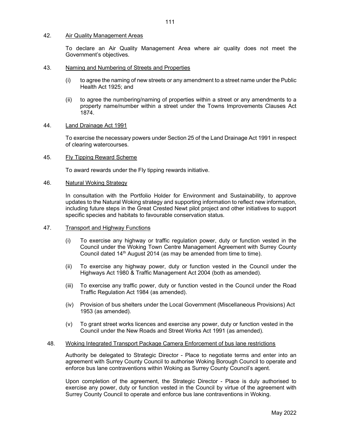#### 42. Air Quality Management Areas

 To declare an Air Quality Management Area where air quality does not meet the Government's objectives.

#### 43. Naming and Numbering of Streets and Properties

- (i) to agree the naming of new streets or any amendment to a street name under the Public Health Act 1925; and
- (ii) to agree the numbering/naming of properties within a street or any amendments to a property name/number within a street under the Towns Improvements Clauses Act 1874.

#### 44. Land Drainage Act 1991

 To exercise the necessary powers under Section 25 of the Land Drainage Act 1991 in respect of clearing watercourses.

#### 45. Fly Tipping Reward Scheme

To award rewards under the Fly tipping rewards initiative.

#### 46. Natural Woking Strategy

 In consultation with the Portfolio Holder for Environment and Sustainability, to approve updates to the Natural Woking strategy and supporting information to reflect new information, including future steps in the Great Crested Newt pilot project and other initiatives to support specific species and habitats to favourable conservation status.

#### 47. Transport and Highway Functions

- (i) To exercise any highway or traffic regulation power, duty or function vested in the Council under the Woking Town Centre Management Agreement with Surrey County Council dated 14<sup>th</sup> August 2014 (as may be amended from time to time).
- (ii) To exercise any highway power, duty or function vested in the Council under the Highways Act 1980 & Traffic Management Act 2004 (both as amended).
- (iii) To exercise any traffic power, duty or function vested in the Council under the Road Traffic Regulation Act 1984 (as amended).
- (iv) Provision of bus shelters under the Local Government (Miscellaneous Provisions) Act 1953 (as amended).
- (v) To grant street works licences and exercise any power, duty or function vested in the Council under the New Roads and Street Works Act 1991 (as amended).

#### 48. Woking Integrated Transport Package Camera Enforcement of bus lane restrictions

Authority be delegated to Strategic Director - Place to negotiate terms and enter into an agreement with Surrey County Council to authorise Woking Borough Council to operate and enforce bus lane contraventions within Woking as Surrey County Council's agent.

Upon completion of the agreement, the Strategic Director - Place is duly authorised to exercise any power, duty or function vested in the Council by virtue of the agreement with Surrey County Council to operate and enforce bus lane contraventions in Woking.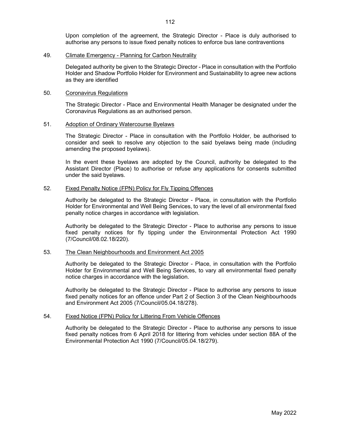Upon completion of the agreement, the Strategic Director - Place is duly authorised to authorise any persons to issue fixed penalty notices to enforce bus lane contraventions

#### 49. Climate Emergency - Planning for Carbon Neutrality

Delegated authority be given to the Strategic Director - Place in consultation with the Portfolio Holder and Shadow Portfolio Holder for Environment and Sustainability to agree new actions as they are identified

#### 50. Coronavirus Regulations

The Strategic Director - Place and Environmental Health Manager be designated under the Coronavirus Regulations as an authorised person.

#### 51. Adoption of Ordinary Watercourse Byelaws

The Strategic Director - Place in consultation with the Portfolio Holder, be authorised to consider and seek to resolve any objection to the said byelaws being made (including amending the proposed byelaws).

In the event these byelaws are adopted by the Council, authority be delegated to the Assistant Director (Place) to authorise or refuse any applications for consents submitted under the said byelaws.

#### 52. Fixed Penalty Notice (FPN) Policy for Fly Tipping Offences

Authority be delegated to the Strategic Director - Place, in consultation with the Portfolio Holder for Environmental and Well Being Services, to vary the level of all environmental fixed penalty notice charges in accordance with legislation.

Authority be delegated to the Strategic Director - Place to authorise any persons to issue fixed penalty notices for fly tipping under the Environmental Protection Act 1990 (7/Council/08.02.18/220).

#### 53. The Clean Neighbourhoods and Environment Act 2005

Authority be delegated to the Strategic Director - Place, in consultation with the Portfolio Holder for Environmental and Well Being Services, to vary all environmental fixed penalty notice charges in accordance with the legislation.

Authority be delegated to the Strategic Director - Place to authorise any persons to issue fixed penalty notices for an offence under Part 2 of Section 3 of the Clean Neighbourhoods and Environment Act 2005 (7/Council/05.04.18/278).

#### 54. Fixed Notice (FPN) Policy for Littering From Vehicle Offences

Authority be delegated to the Strategic Director - Place to authorise any persons to issue fixed penalty notices from 6 April 2018 for littering from vehicles under section 88A of the Environmental Protection Act 1990 (7/Council/05.04.18/279).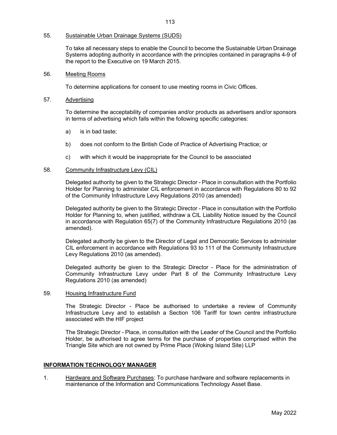#### 55. Sustainable Urban Drainage Systems (SUDS)

To take all necessary steps to enable the Council to become the Sustainable Urban Drainage Systems adopting authority in accordance with the principles contained in paragraphs 4-9 of the report to the Executive on 19 March 2015.

#### 56. Meeting Rooms

To determine applications for consent to use meeting rooms in Civic Offices.

#### 57. Advertising

 To determine the acceptability of companies and/or products as advertisers and/or sponsors in terms of advertising which falls within the following specific categories:

- a) is in bad taste;
- b) does not conform to the British Code of Practice of Advertising Practice; or
- c) with which it would be inappropriate for the Council to be associated

#### 58. Community Infrastructure Levy (CIL)

Delegated authority be given to the Strategic Director - Place in consultation with the Portfolio Holder for Planning to administer CIL enforcement in accordance with Regulations 80 to 92 of the Community Infrastructure Levy Regulations 2010 (as amended)

Delegated authority be given to the Strategic Director - Place in consultation with the Portfolio Holder for Planning to, when justified, withdraw a CIL Liability Notice issued by the Council in accordance with Regulation 65(7) of the Community Infrastructure Regulations 2010 (as amended).

Delegated authority be given to the Director of Legal and Democratic Services to administer CIL enforcement in accordance with Regulations 93 to 111 of the Community Infrastructure Levy Regulations 2010 (as amended).

Delegated authority be given to the Strategic Director - Place for the administration of Community Infrastructure Levy under Part 8 of the Community Infrastructure Levy Regulations 2010 (as amended)

#### 59. Housing Infrastructure Fund

The Strategic Director - Place be authorised to undertake a review of Community Infrastructure Levy and to establish a Section 106 Tariff for town centre infrastructure associated with the HIF project

The Strategic Director - Place, in consultation with the Leader of the Council and the Portfolio Holder, be authorised to agree terms for the purchase of properties comprised within the Triangle Site which are not owned by Prime Place (Woking Island Site) LLP

#### INFORMATION TECHNOLOGY MANAGER

1. Hardware and Software Purchases: To purchase hardware and software replacements in maintenance of the Information and Communications Technology Asset Base.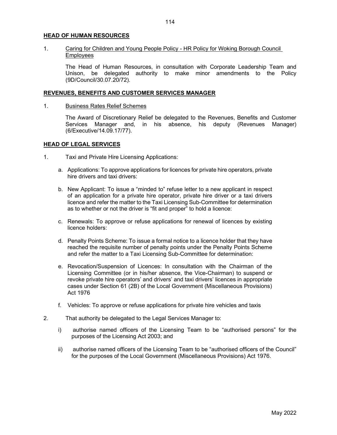#### HEAD OF HUMAN RESOURCES

#### 1. Caring for Children and Young People Policy - HR Policy for Woking Borough Council **Employees**

The Head of Human Resources, in consultation with Corporate Leadership Team and Unison, be delegated authority to make minor amendments to the Policy (9D/Council/30.07.20/72).

#### REVENUES, BENEFITS AND CUSTOMER SERVICES MANAGER

1. Business Rates Relief Schemes

The Award of Discretionary Relief be delegated to the Revenues, Benefits and Customer Services Manager and, in his absence, his deputy (Revenues Manager) (6/Executive/14.09.17/77).

#### HEAD OF LEGAL SERVICES

- 1. Taxi and Private Hire Licensing Applications:
	- a. Applications: To approve applications for licences for private hire operators, private hire drivers and taxi drivers:
	- b. New Applicant: To issue a "minded to" refuse letter to a new applicant in respect of an application for a private hire operator, private hire driver or a taxi drivers licence and refer the matter to the Taxi Licensing Sub-Committee for determination as to whether or not the driver is "fit and proper" to hold a licence:
	- c. Renewals: To approve or refuse applications for renewal of licences by existing licence holders:
	- d. Penalty Points Scheme: To issue a formal notice to a licence holder that they have reached the requisite number of penalty points under the Penalty Points Scheme and refer the matter to a Taxi Licensing Sub-Committee for determination:
	- e. Revocation/Suspension of Licences: In consultation with the Chairman of the Licensing Committee (or in his/her absence, the Vice-Chairman) to suspend or revoke private hire operators' and drivers' and taxi drivers' licences in appropriate cases under Section 61 (2B) of the Local Government (Miscellaneous Provisions) Act 1976
	- f. Vehicles: To approve or refuse applications for private hire vehicles and taxis
- 2. That authority be delegated to the Legal Services Manager to:
	- i) authorise named officers of the Licensing Team to be "authorised persons" for the purposes of the Licensing Act 2003; and
	- ii) authorise named officers of the Licensing Team to be "authorised officers of the Council" for the purposes of the Local Government (Miscellaneous Provisions) Act 1976.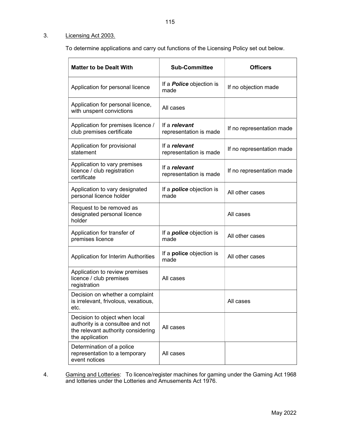#### 3. Licensing Act 2003.

To determine applications and carry out functions of the Licensing Policy set out below.

| <b>Matter to be Dealt With</b>                                                                                             | <b>Sub-Committee</b>                    | <b>Officers</b>           |
|----------------------------------------------------------------------------------------------------------------------------|-----------------------------------------|---------------------------|
| Application for personal licence                                                                                           | If a <i>Police</i> objection is<br>made | If no objection made      |
| Application for personal licence,<br>with unspent convictions                                                              | All cases                               |                           |
| Application for premises licence /<br>club premises certificate                                                            | If a relevant<br>representation is made | If no representation made |
| Application for provisional<br>statement                                                                                   | If a relevant<br>representation is made | If no representation made |
| Application to vary premises<br>licence / club registration<br>certificate                                                 | If a relevant<br>representation is made | If no representation made |
| Application to vary designated<br>personal licence holder                                                                  | If a <i>police</i> objection is<br>made | All other cases           |
| Request to be removed as<br>designated personal licence<br>holder                                                          |                                         | All cases                 |
| Application for transfer of<br>premises licence                                                                            | If a <i>police</i> objection is<br>made | All other cases           |
| Application for Interim Authorities                                                                                        | If a <b>police</b> objection is<br>made | All other cases           |
| Application to review premises<br>licence / club premises<br>registration                                                  | All cases                               |                           |
| Decision on whether a complaint<br>is irrelevant, frivolous, vexatious,<br>etc.                                            |                                         | All cases                 |
| Decision to object when local<br>authority is a consultee and not<br>the relevant authority considering<br>the application | All cases                               |                           |
| Determination of a police<br>representation to a temporary<br>event notices                                                | All cases                               |                           |

4. Gaming and Lotteries: To licence/register machines for gaming under the Gaming Act 1968 and lotteries under the Lotteries and Amusements Act 1976.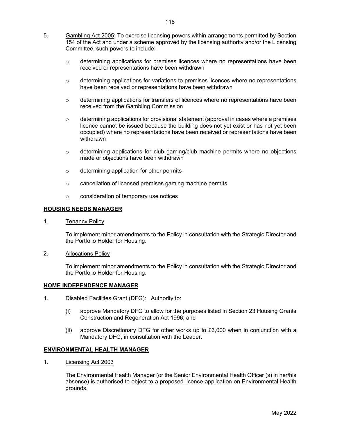- 5. Gambling Act 2005: To exercise licensing powers within arrangements permitted by Section 154 of the Act and under a scheme approved by the licensing authority and/or the Licensing Committee, such powers to include:-
	- $\circ$  determining applications for premises licences where no representations have been received or representations have been withdrawn
	- $\circ$  determining applications for variations to premises licences where no representations have been received or representations have been withdrawn
	- $\circ$  determining applications for transfers of licences where no representations have been received from the Gambling Commission
	- $\circ$  determining applications for provisional statement (approval in cases where a premises licence cannot be issued because the building does not yet exist or has not yet been occupied) where no representations have been received or representations have been withdrawn
	- o determining applications for club gaming/club machine permits where no objections made or objections have been withdrawn
	- o determining application for other permits
	- o cancellation of licensed premises gaming machine permits
	- o consideration of temporary use notices

#### HOUSING NEEDS MANAGER

1. Tenancy Policy

 To implement minor amendments to the Policy in consultation with the Strategic Director and the Portfolio Holder for Housing.

2. Allocations Policy

 To implement minor amendments to the Policy in consultation with the Strategic Director and the Portfolio Holder for Housing.

#### HOME INDEPENDENCE MANAGER

- 1. Disabled Facilities Grant (DFG): Authority to:
	- (i) approve Mandatory DFG to allow for the purposes listed in Section 23 Housing Grants Construction and Regeneration Act 1996; and
	- (ii) approve Discretionary DFG for other works up to £3,000 when in conjunction with a Mandatory DFG, in consultation with the Leader.

#### ENVIRONMENTAL HEALTH MANAGER

1. Licensing Act 2003

 The Environmental Health Manager (or the Senior Environmental Health Officer (s) in her/his absence) is authorised to object to a proposed licence application on Environmental Health grounds.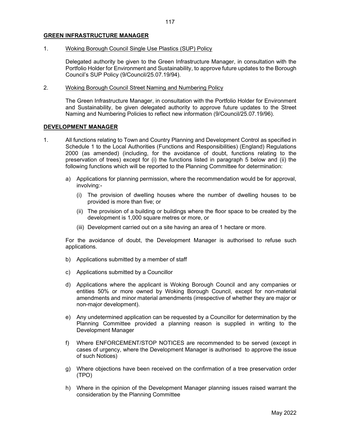1. Woking Borough Council Single Use Plastics (SUP) Policy

Delegated authority be given to the Green Infrastructure Manager, in consultation with the Portfolio Holder for Environment and Sustainability, to approve future updates to the Borough Council's SUP Policy (9/Council/25.07.19/94).

2. Woking Borough Council Street Naming and Numbering Policy

The Green Infrastructure Manager, in consultation with the Portfolio Holder for Environment and Sustainability, be given delegated authority to approve future updates to the Street Naming and Numbering Policies to reflect new information (9/Council/25.07.19/96).

#### DEVELOPMENT MANAGER

- 1. All functions relating to Town and Country Planning and Development Control as specified in Schedule 1 to the Local Authorities (Functions and Responsibilities) (England) Regulations 2000 (as amended) (including, for the avoidance of doubt, functions relating to the preservation of trees) except for (i) the functions listed in paragraph 5 below and (ii) the following functions which will be reported to the Planning Committee for determination:
	- a) Applications for planning permission, where the recommendation would be for approval, involving:-
		- (i) The provision of dwelling houses where the number of dwelling houses to be provided is more than five; or
		- (ii) The provision of a building or buildings where the floor space to be created by the development is 1,000 square metres or more, or
		- (iii) Development carried out on a site having an area of 1 hectare or more.

For the avoidance of doubt, the Development Manager is authorised to refuse such applications.

- b) Applications submitted by a member of staff
- c) Applications submitted by a Councillor
- d) Applications where the applicant is Woking Borough Council and any companies or entities 50% or more owned by Woking Borough Council, except for non-material amendments and minor material amendments (irrespective of whether they are major or non-major development).
- e) Any undetermined application can be requested by a Councillor for determination by the Planning Committee provided a planning reason is supplied in writing to the Development Manager
- f) Where ENFORCEMENT/STOP NOTICES are recommended to be served (except in cases of urgency, where the Development Manager is authorised to approve the issue of such Notices)
- g) Where objections have been received on the confirmation of a tree preservation order (TPO)
- h) Where in the opinion of the Development Manager planning issues raised warrant the consideration by the Planning Committee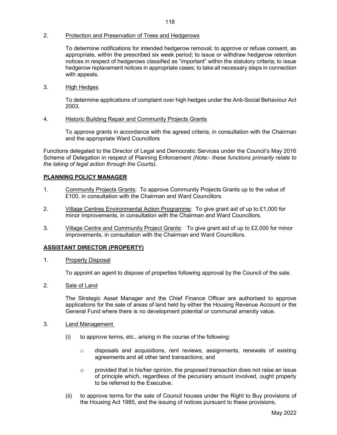#### 2. Protection and Preservation of Trees and Hedgerows

To determine notifications for intended hedgerow removal; to approve or refuse consent, as appropriate, within the prescribed six week period; to issue or withdraw hedgerow retention notices in respect of hedgerows classified as "important" within the statutory criteria; to issue hedgerow replacement notices in appropriate cases; to take all necessary steps in connection with appeals.

3. High Hedges

To determine applications of complaint over high hedges under the Anti-Social Behaviour Act 2003.

4. Historic Building Repair and Community Projects Grants

 To approve grants in accordance with the agreed criteria, in consultation with the Chairman and the appropriate Ward Councillors

Functions delegated to the Director of Legal and Democratic Services under the Council's May 2016 Scheme of Delegation in respect of Planning Enforcement (Note:- these functions primarily relate to the taking of legal action through the Courts).

#### PLANNING POLICY MANAGER

- 1. Community Projects Grants: To approve Community Projects Grants up to the value of £100, in consultation with the Chairman and Ward Councillors.
- 2. Village Centres Environmental Action Programme: To give grant aid of up to £1,000 for minor improvements, in consultation with the Chairman and Ward Councillors.
- 3. Village Centre and Community Project Grants: To give grant aid of up to £2,000 for minor improvements, in consultation with the Chairman and Ward Councillors.

#### ASSISTANT DIRECTOR (PROPERTY)

1. Property Disposal

To appoint an agent to dispose of properties following approval by the Council of the sale.

2. Sale of Land

 The Strategic Asset Manager and the Chief Finance Officer are authorised to approve applications for the sale of areas of land held by either the Housing Revenue Account or the General Fund where there is no development potential or communal amenity value.

- 3. Land Management
	- (i) to approve terms, etc., arising in the course of the following:
		- $\circ$  disposals and acquisitions, rent reviews, assignments, renewals of existing agreements and all other land transactions; and
		- $\circ$  provided that in his/her opinion, the proposed transaction does not raise an issue of principle which, regardless of the pecuniary amount involved, ought properly to be referred to the Executive.
	- (ii) to approve terms for the sale of Council houses under the Right to Buy provisions of the Housing Act 1985, and the issuing of notices pursuant to these provisions.